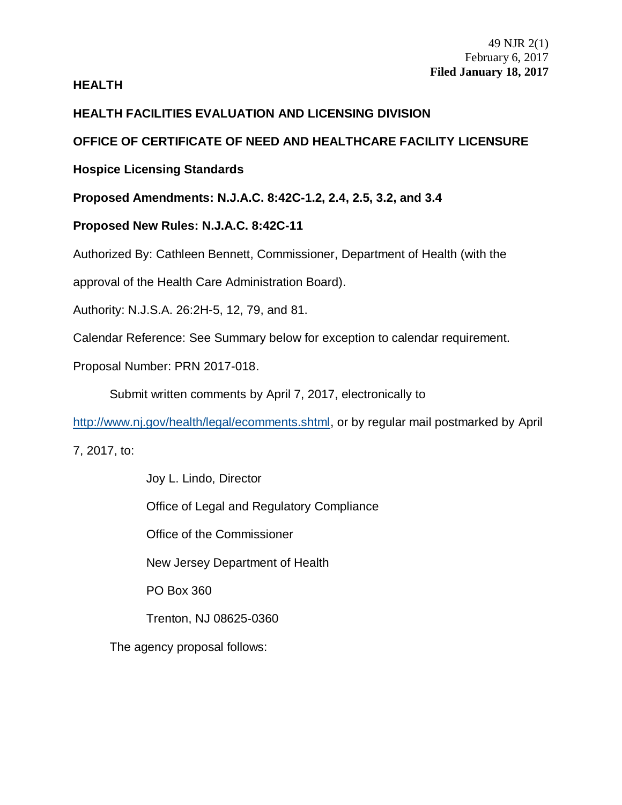## **HEALTH**

# **HEALTH FACILITIES EVALUATION AND LICENSING DIVISION**

# **OFFICE OF CERTIFICATE OF NEED AND HEALTHCARE FACILITY LICENSURE**

# **Hospice Licensing Standards**

**Proposed Amendments: N.J.A.C. 8:42C-1.2, 2.4, 2.5, 3.2, and 3.4**

# **Proposed New Rules: N.J.A.C. 8:42C-11**

Authorized By: Cathleen Bennett, Commissioner, Department of Health (with the

approval of the Health Care Administration Board).

Authority: N.J.S.A. 26:2H-5, 12, 79, and 81.

Calendar Reference: See Summary below for exception to calendar requirement.

Proposal Number: PRN 2017-018.

Submit written comments by April 7, 2017, electronically to

[http://www.nj.gov/health/legal/ecomments.shtml,](http://www.nj.gov/health/legal/ecomments.shtml) or by regular mail postmarked by April

7, 2017, to:

Joy L. Lindo, Director Office of Legal and Regulatory Compliance Office of the Commissioner New Jersey Department of Health PO Box 360 Trenton, NJ 08625-0360 The agency proposal follows: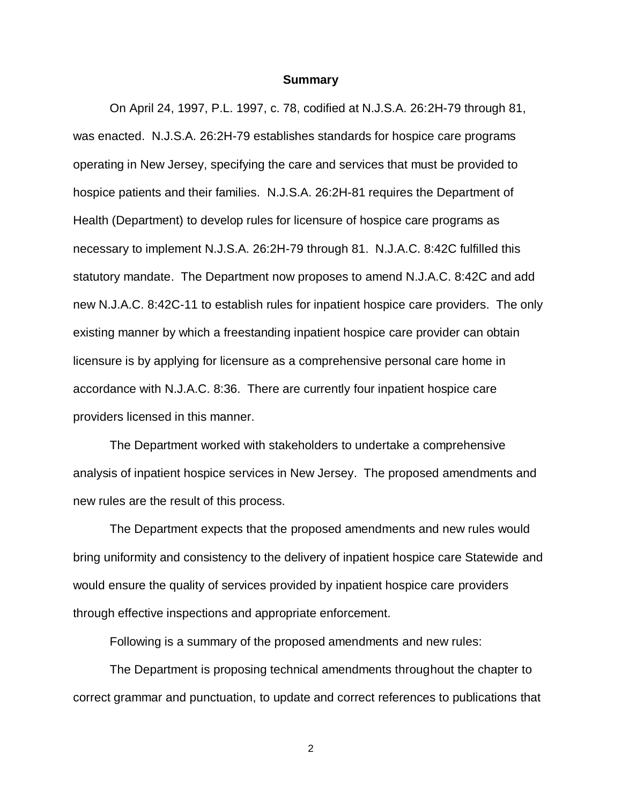#### **Summary**

On April 24, 1997, P.L. 1997, c. 78, codified at N.J.S.A. 26:2H-79 through 81, was enacted. N.J.S.A. 26:2H-79 establishes standards for hospice care programs operating in New Jersey, specifying the care and services that must be provided to hospice patients and their families. N.J.S.A. 26:2H-81 requires the Department of Health (Department) to develop rules for licensure of hospice care programs as necessary to implement N.J.S.A. 26:2H-79 through 81. N.J.A.C. 8:42C fulfilled this statutory mandate. The Department now proposes to amend N.J.A.C. 8:42C and add new N.J.A.C. 8:42C-11 to establish rules for inpatient hospice care providers. The only existing manner by which a freestanding inpatient hospice care provider can obtain licensure is by applying for licensure as a comprehensive personal care home in accordance with N.J.A.C. 8:36. There are currently four inpatient hospice care providers licensed in this manner.

The Department worked with stakeholders to undertake a comprehensive analysis of inpatient hospice services in New Jersey. The proposed amendments and new rules are the result of this process.

The Department expects that the proposed amendments and new rules would bring uniformity and consistency to the delivery of inpatient hospice care Statewide and would ensure the quality of services provided by inpatient hospice care providers through effective inspections and appropriate enforcement.

Following is a summary of the proposed amendments and new rules:

The Department is proposing technical amendments throughout the chapter to correct grammar and punctuation, to update and correct references to publications that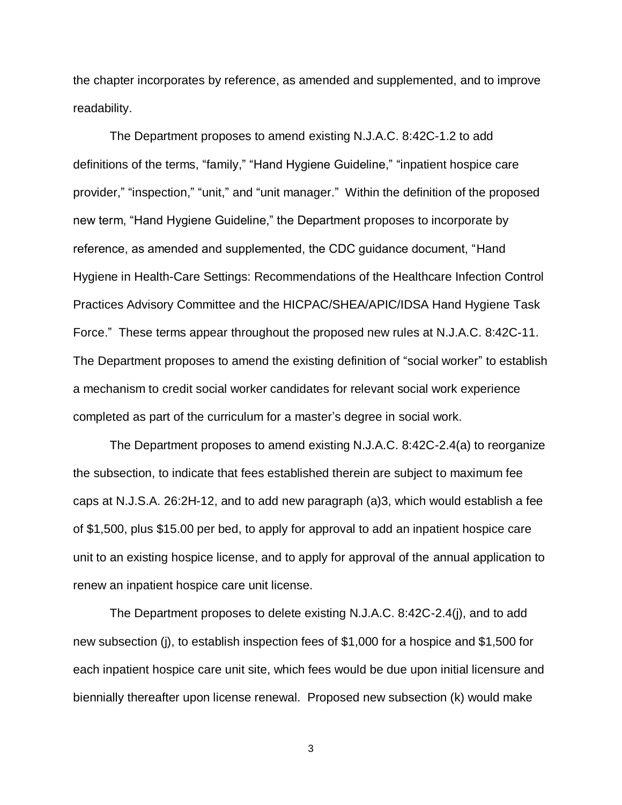the chapter incorporates by reference, as amended and supplemented, and to improve readability.

The Department proposes to amend existing N.J.A.C. 8:42C-1.2 to add definitions of the terms, "family," "Hand Hygiene Guideline," "inpatient hospice care provider," "inspection," "unit," and "unit manager." Within the definition of the proposed new term, "Hand Hygiene Guideline," the Department proposes to incorporate by reference, as amended and supplemented, the CDC guidance document, "Hand Hygiene in Health-Care Settings: Recommendations of the Healthcare Infection Control Practices Advisory Committee and the HICPAC/SHEA/APIC/IDSA Hand Hygiene Task Force." These terms appear throughout the proposed new rules at N.J.A.C. 8:42C-11. The Department proposes to amend the existing definition of "social worker" to establish a mechanism to credit social worker candidates for relevant social work experience completed as part of the curriculum for a master's degree in social work.

The Department proposes to amend existing N.J.A.C. 8:42C-2.4(a) to reorganize the subsection, to indicate that fees established therein are subject to maximum fee caps at N.J.S.A. 26:2H-12, and to add new paragraph (a)3, which would establish a fee of \$1,500, plus \$15.00 per bed, to apply for approval to add an inpatient hospice care unit to an existing hospice license, and to apply for approval of the annual application to renew an inpatient hospice care unit license.

The Department proposes to delete existing N.J.A.C. 8:42C-2.4(j), and to add new subsection (j), to establish inspection fees of \$1,000 for a hospice and \$1,500 for each inpatient hospice care unit site, which fees would be due upon initial licensure and biennially thereafter upon license renewal. Proposed new subsection (k) would make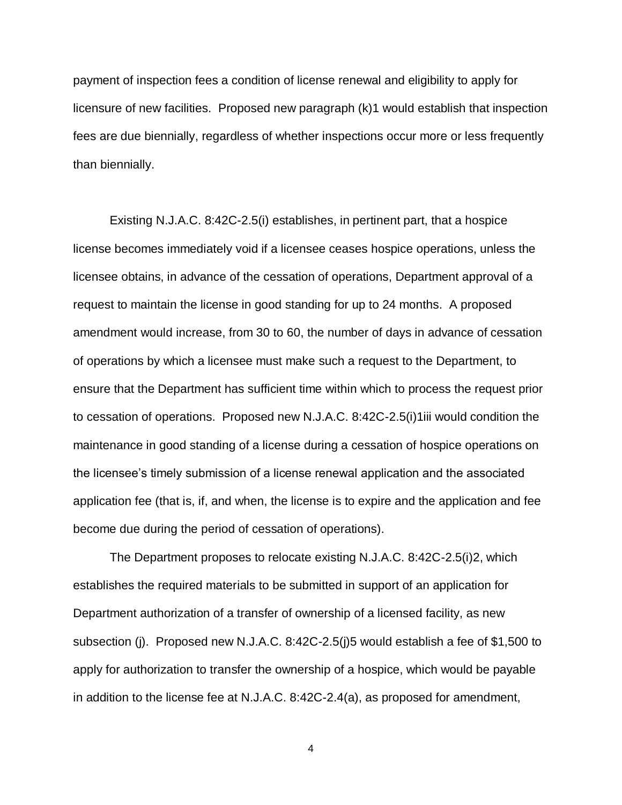payment of inspection fees a condition of license renewal and eligibility to apply for licensure of new facilities. Proposed new paragraph (k)1 would establish that inspection fees are due biennially, regardless of whether inspections occur more or less frequently than biennially.

Existing N.J.A.C. 8:42C-2.5(i) establishes, in pertinent part, that a hospice license becomes immediately void if a licensee ceases hospice operations, unless the licensee obtains, in advance of the cessation of operations, Department approval of a request to maintain the license in good standing for up to 24 months. A proposed amendment would increase, from 30 to 60, the number of days in advance of cessation of operations by which a licensee must make such a request to the Department, to ensure that the Department has sufficient time within which to process the request prior to cessation of operations. Proposed new N.J.A.C. 8:42C-2.5(i)1iii would condition the maintenance in good standing of a license during a cessation of hospice operations on the licensee's timely submission of a license renewal application and the associated application fee (that is, if, and when, the license is to expire and the application and fee become due during the period of cessation of operations).

The Department proposes to relocate existing N.J.A.C. 8:42C-2.5(i)2, which establishes the required materials to be submitted in support of an application for Department authorization of a transfer of ownership of a licensed facility, as new subsection (j). Proposed new N.J.A.C. 8:42C-2.5(j)5 would establish a fee of \$1,500 to apply for authorization to transfer the ownership of a hospice, which would be payable in addition to the license fee at N.J.A.C. 8:42C-2.4(a), as proposed for amendment,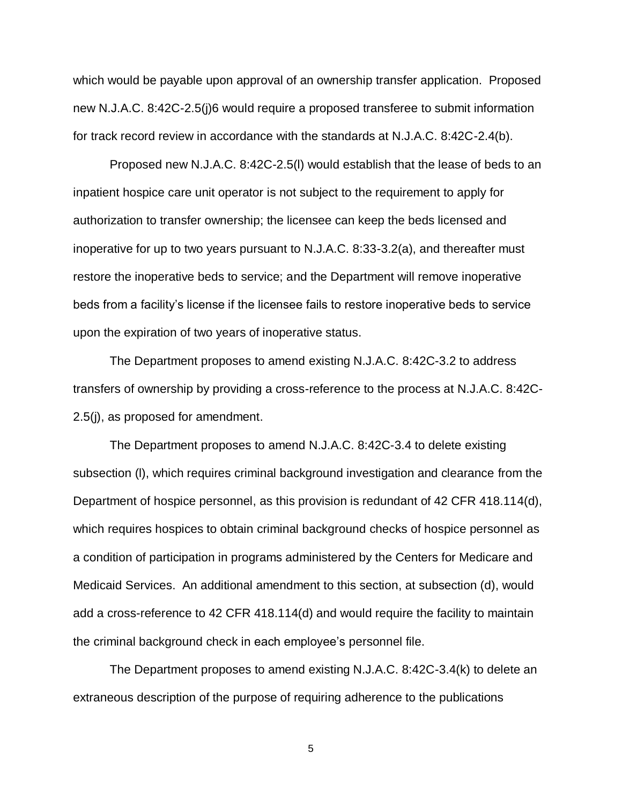which would be payable upon approval of an ownership transfer application. Proposed new N.J.A.C. 8:42C-2.5(j)6 would require a proposed transferee to submit information for track record review in accordance with the standards at N.J.A.C. 8:42C-2.4(b).

Proposed new N.J.A.C. 8:42C-2.5(l) would establish that the lease of beds to an inpatient hospice care unit operator is not subject to the requirement to apply for authorization to transfer ownership; the licensee can keep the beds licensed and inoperative for up to two years pursuant to N.J.A.C. 8:33-3.2(a), and thereafter must restore the inoperative beds to service; and the Department will remove inoperative beds from a facility's license if the licensee fails to restore inoperative beds to service upon the expiration of two years of inoperative status.

The Department proposes to amend existing N.J.A.C. 8:42C-3.2 to address transfers of ownership by providing a cross-reference to the process at N.J.A.C. 8:42C-2.5(j), as proposed for amendment.

The Department proposes to amend N.J.A.C. 8:42C-3.4 to delete existing subsection (l), which requires criminal background investigation and clearance from the Department of hospice personnel, as this provision is redundant of 42 CFR 418.114(d), which requires hospices to obtain criminal background checks of hospice personnel as a condition of participation in programs administered by the Centers for Medicare and Medicaid Services. An additional amendment to this section, at subsection (d), would add a cross-reference to 42 CFR 418.114(d) and would require the facility to maintain the criminal background check in each employee's personnel file.

The Department proposes to amend existing N.J.A.C. 8:42C-3.4(k) to delete an extraneous description of the purpose of requiring adherence to the publications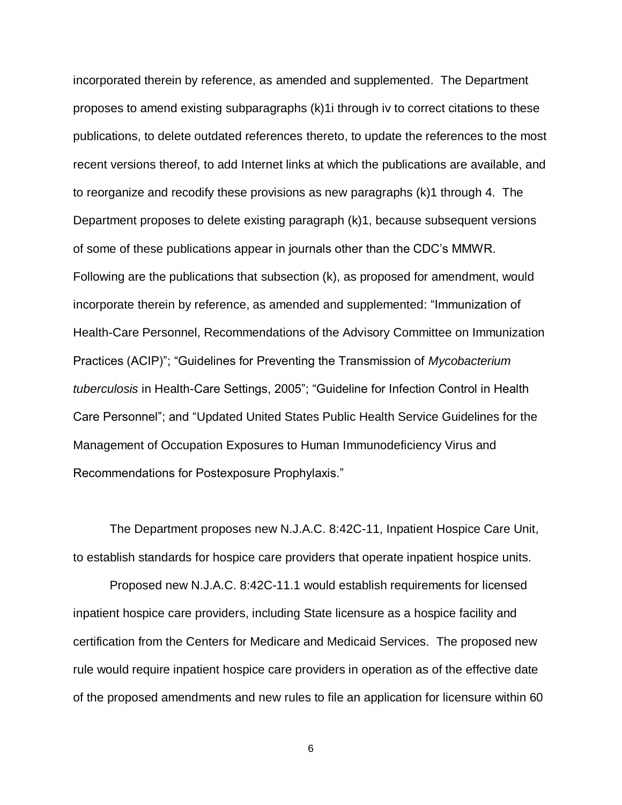incorporated therein by reference, as amended and supplemented. The Department proposes to amend existing subparagraphs (k)1i through iv to correct citations to these publications, to delete outdated references thereto, to update the references to the most recent versions thereof, to add Internet links at which the publications are available, and to reorganize and recodify these provisions as new paragraphs (k)1 through 4. The Department proposes to delete existing paragraph (k)1, because subsequent versions of some of these publications appear in journals other than the CDC's MMWR. Following are the publications that subsection (k), as proposed for amendment, would incorporate therein by reference, as amended and supplemented: "Immunization of Health-Care Personnel, Recommendations of the Advisory Committee on Immunization Practices (ACIP)"; "Guidelines for Preventing the Transmission of *Mycobacterium tuberculosis* in Health-Care Settings, 2005"; "Guideline for Infection Control in Health Care Personnel"; and "Updated United States Public Health Service Guidelines for the Management of Occupation Exposures to Human Immunodeficiency Virus and Recommendations for Postexposure Prophylaxis."

The Department proposes new N.J.A.C. 8:42C-11, Inpatient Hospice Care Unit, to establish standards for hospice care providers that operate inpatient hospice units.

Proposed new N.J.A.C. 8:42C-11.1 would establish requirements for licensed inpatient hospice care providers, including State licensure as a hospice facility and certification from the Centers for Medicare and Medicaid Services. The proposed new rule would require inpatient hospice care providers in operation as of the effective date of the proposed amendments and new rules to file an application for licensure within 60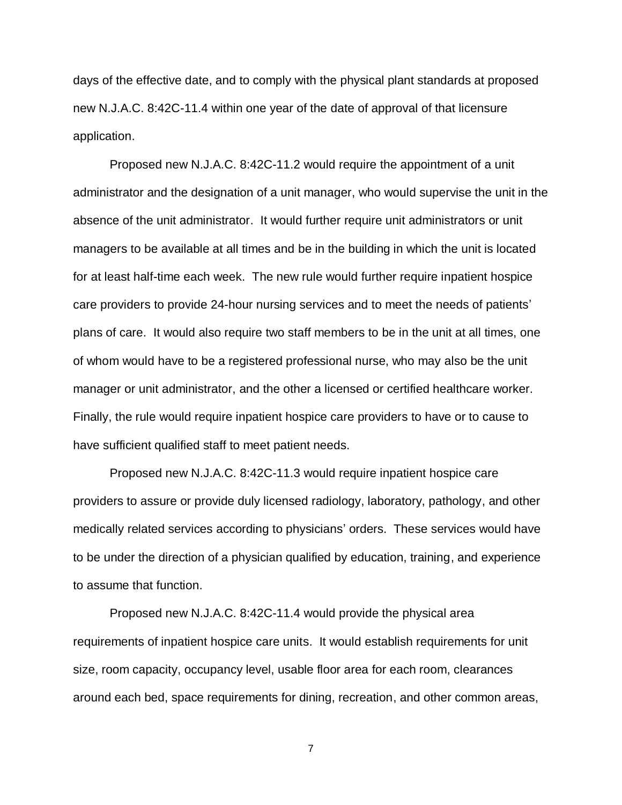days of the effective date, and to comply with the physical plant standards at proposed new N.J.A.C. 8:42C-11.4 within one year of the date of approval of that licensure application.

Proposed new N.J.A.C. 8:42C-11.2 would require the appointment of a unit administrator and the designation of a unit manager, who would supervise the unit in the absence of the unit administrator. It would further require unit administrators or unit managers to be available at all times and be in the building in which the unit is located for at least half-time each week. The new rule would further require inpatient hospice care providers to provide 24-hour nursing services and to meet the needs of patients' plans of care. It would also require two staff members to be in the unit at all times, one of whom would have to be a registered professional nurse, who may also be the unit manager or unit administrator, and the other a licensed or certified healthcare worker. Finally, the rule would require inpatient hospice care providers to have or to cause to have sufficient qualified staff to meet patient needs.

Proposed new N.J.A.C. 8:42C-11.3 would require inpatient hospice care providers to assure or provide duly licensed radiology, laboratory, pathology, and other medically related services according to physicians' orders. These services would have to be under the direction of a physician qualified by education, training, and experience to assume that function.

Proposed new N.J.A.C. 8:42C-11.4 would provide the physical area requirements of inpatient hospice care units. It would establish requirements for unit size, room capacity, occupancy level, usable floor area for each room, clearances around each bed, space requirements for dining, recreation, and other common areas,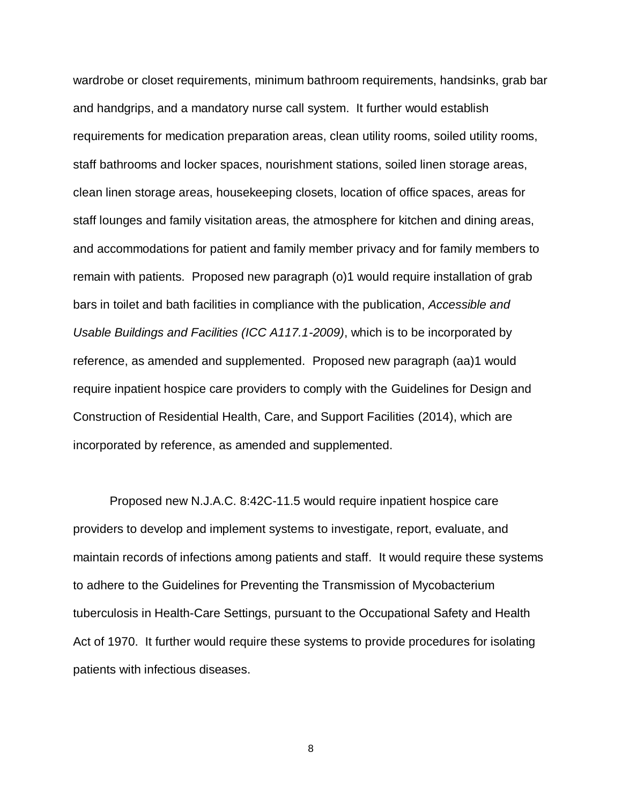wardrobe or closet requirements, minimum bathroom requirements, handsinks, grab bar and handgrips, and a mandatory nurse call system. It further would establish requirements for medication preparation areas, clean utility rooms, soiled utility rooms, staff bathrooms and locker spaces, nourishment stations, soiled linen storage areas, clean linen storage areas, housekeeping closets, location of office spaces, areas for staff lounges and family visitation areas, the atmosphere for kitchen and dining areas, and accommodations for patient and family member privacy and for family members to remain with patients. Proposed new paragraph (o)1 would require installation of grab bars in toilet and bath facilities in compliance with the publication, *Accessible and Usable Buildings and Facilities (ICC A117.1-2009)*, which is to be incorporated by reference, as amended and supplemented. Proposed new paragraph (aa)1 would require inpatient hospice care providers to comply with the Guidelines for Design and Construction of Residential Health, Care, and Support Facilities (2014), which are incorporated by reference, as amended and supplemented.

Proposed new N.J.A.C. 8:42C-11.5 would require inpatient hospice care providers to develop and implement systems to investigate, report, evaluate, and maintain records of infections among patients and staff. It would require these systems to adhere to the Guidelines for Preventing the Transmission of Mycobacterium tuberculosis in Health-Care Settings, pursuant to the Occupational Safety and Health Act of 1970. It further would require these systems to provide procedures for isolating patients with infectious diseases.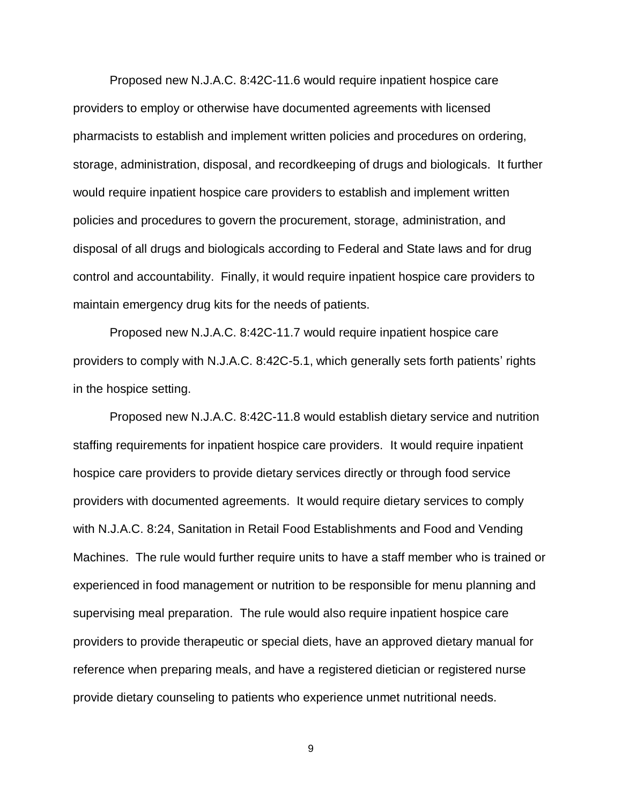Proposed new N.J.A.C. 8:42C-11.6 would require inpatient hospice care providers to employ or otherwise have documented agreements with licensed pharmacists to establish and implement written policies and procedures on ordering, storage, administration, disposal, and recordkeeping of drugs and biologicals. It further would require inpatient hospice care providers to establish and implement written policies and procedures to govern the procurement, storage, administration, and disposal of all drugs and biologicals according to Federal and State laws and for drug control and accountability. Finally, it would require inpatient hospice care providers to maintain emergency drug kits for the needs of patients.

Proposed new N.J.A.C. 8:42C-11.7 would require inpatient hospice care providers to comply with N.J.A.C. 8:42C-5.1, which generally sets forth patients' rights in the hospice setting.

Proposed new N.J.A.C. 8:42C-11.8 would establish dietary service and nutrition staffing requirements for inpatient hospice care providers. It would require inpatient hospice care providers to provide dietary services directly or through food service providers with documented agreements. It would require dietary services to comply with N.J.A.C. 8:24, Sanitation in Retail Food Establishments and Food and Vending Machines. The rule would further require units to have a staff member who is trained or experienced in food management or nutrition to be responsible for menu planning and supervising meal preparation. The rule would also require inpatient hospice care providers to provide therapeutic or special diets, have an approved dietary manual for reference when preparing meals, and have a registered dietician or registered nurse provide dietary counseling to patients who experience unmet nutritional needs.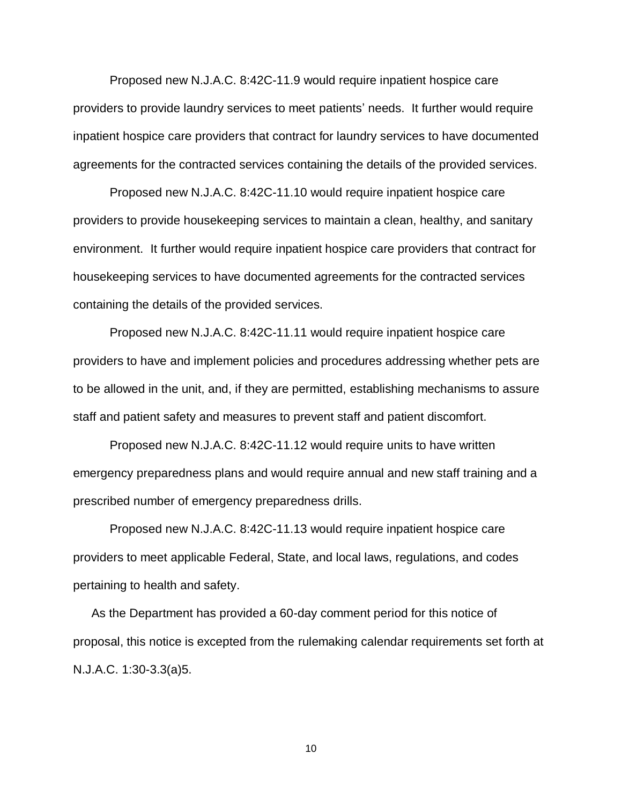Proposed new N.J.A.C. 8:42C-11.9 would require inpatient hospice care providers to provide laundry services to meet patients' needs. It further would require inpatient hospice care providers that contract for laundry services to have documented agreements for the contracted services containing the details of the provided services.

Proposed new N.J.A.C. 8:42C-11.10 would require inpatient hospice care providers to provide housekeeping services to maintain a clean, healthy, and sanitary environment. It further would require inpatient hospice care providers that contract for housekeeping services to have documented agreements for the contracted services containing the details of the provided services.

Proposed new N.J.A.C. 8:42C-11.11 would require inpatient hospice care providers to have and implement policies and procedures addressing whether pets are to be allowed in the unit, and, if they are permitted, establishing mechanisms to assure staff and patient safety and measures to prevent staff and patient discomfort.

Proposed new N.J.A.C. 8:42C-11.12 would require units to have written emergency preparedness plans and would require annual and new staff training and a prescribed number of emergency preparedness drills.

Proposed new N.J.A.C. 8:42C-11.13 would require inpatient hospice care providers to meet applicable Federal, State, and local laws, regulations, and codes pertaining to health and safety.

As the Department has provided a 60-day comment period for this notice of proposal, this notice is excepted from the rulemaking calendar requirements set forth at N.J.A.C. 1:30-3.3(a)5.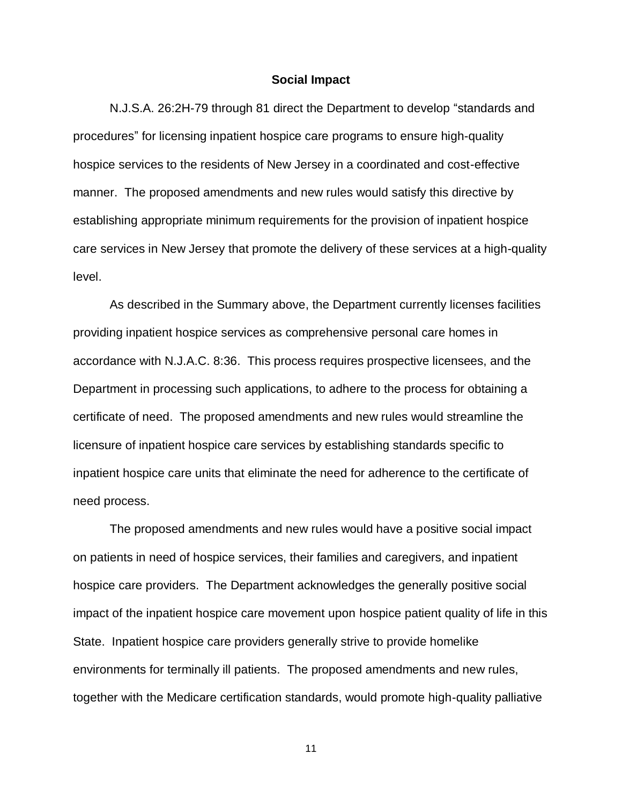#### **Social Impact**

N.J.S.A. 26:2H-79 through 81 direct the Department to develop "standards and procedures" for licensing inpatient hospice care programs to ensure high-quality hospice services to the residents of New Jersey in a coordinated and cost-effective manner. The proposed amendments and new rules would satisfy this directive by establishing appropriate minimum requirements for the provision of inpatient hospice care services in New Jersey that promote the delivery of these services at a high-quality level.

As described in the Summary above, the Department currently licenses facilities providing inpatient hospice services as comprehensive personal care homes in accordance with N.J.A.C. 8:36. This process requires prospective licensees, and the Department in processing such applications, to adhere to the process for obtaining a certificate of need. The proposed amendments and new rules would streamline the licensure of inpatient hospice care services by establishing standards specific to inpatient hospice care units that eliminate the need for adherence to the certificate of need process.

The proposed amendments and new rules would have a positive social impact on patients in need of hospice services, their families and caregivers, and inpatient hospice care providers. The Department acknowledges the generally positive social impact of the inpatient hospice care movement upon hospice patient quality of life in this State. Inpatient hospice care providers generally strive to provide homelike environments for terminally ill patients. The proposed amendments and new rules, together with the Medicare certification standards, would promote high-quality palliative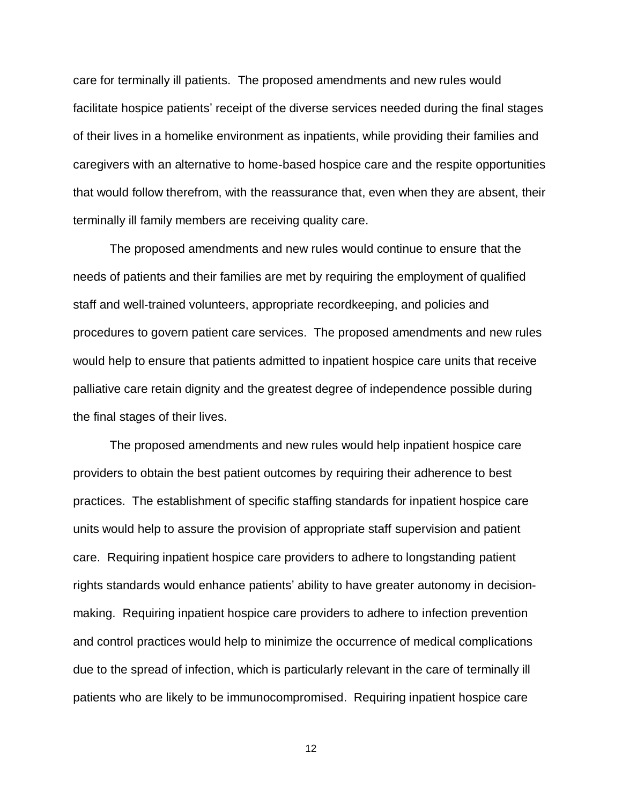care for terminally ill patients. The proposed amendments and new rules would facilitate hospice patients' receipt of the diverse services needed during the final stages of their lives in a homelike environment as inpatients, while providing their families and caregivers with an alternative to home-based hospice care and the respite opportunities that would follow therefrom, with the reassurance that, even when they are absent, their terminally ill family members are receiving quality care.

The proposed amendments and new rules would continue to ensure that the needs of patients and their families are met by requiring the employment of qualified staff and well-trained volunteers, appropriate recordkeeping, and policies and procedures to govern patient care services. The proposed amendments and new rules would help to ensure that patients admitted to inpatient hospice care units that receive palliative care retain dignity and the greatest degree of independence possible during the final stages of their lives.

The proposed amendments and new rules would help inpatient hospice care providers to obtain the best patient outcomes by requiring their adherence to best practices. The establishment of specific staffing standards for inpatient hospice care units would help to assure the provision of appropriate staff supervision and patient care. Requiring inpatient hospice care providers to adhere to longstanding patient rights standards would enhance patients' ability to have greater autonomy in decisionmaking. Requiring inpatient hospice care providers to adhere to infection prevention and control practices would help to minimize the occurrence of medical complications due to the spread of infection, which is particularly relevant in the care of terminally ill patients who are likely to be immunocompromised. Requiring inpatient hospice care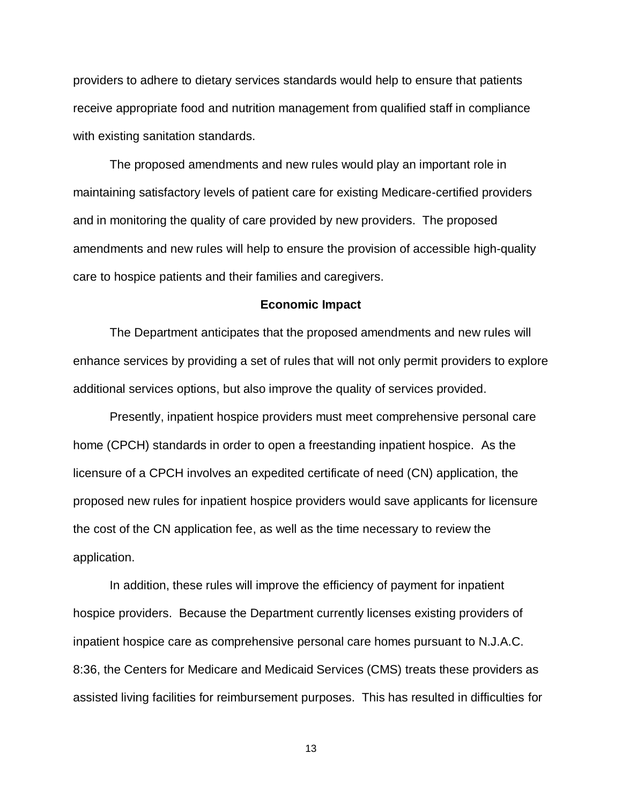providers to adhere to dietary services standards would help to ensure that patients receive appropriate food and nutrition management from qualified staff in compliance with existing sanitation standards.

The proposed amendments and new rules would play an important role in maintaining satisfactory levels of patient care for existing Medicare-certified providers and in monitoring the quality of care provided by new providers. The proposed amendments and new rules will help to ensure the provision of accessible high-quality care to hospice patients and their families and caregivers.

#### **Economic Impact**

The Department anticipates that the proposed amendments and new rules will enhance services by providing a set of rules that will not only permit providers to explore additional services options, but also improve the quality of services provided.

Presently, inpatient hospice providers must meet comprehensive personal care home (CPCH) standards in order to open a freestanding inpatient hospice. As the licensure of a CPCH involves an expedited certificate of need (CN) application, the proposed new rules for inpatient hospice providers would save applicants for licensure the cost of the CN application fee, as well as the time necessary to review the application.

In addition, these rules will improve the efficiency of payment for inpatient hospice providers. Because the Department currently licenses existing providers of inpatient hospice care as comprehensive personal care homes pursuant to N.J.A.C. 8:36, the Centers for Medicare and Medicaid Services (CMS) treats these providers as assisted living facilities for reimbursement purposes. This has resulted in difficulties for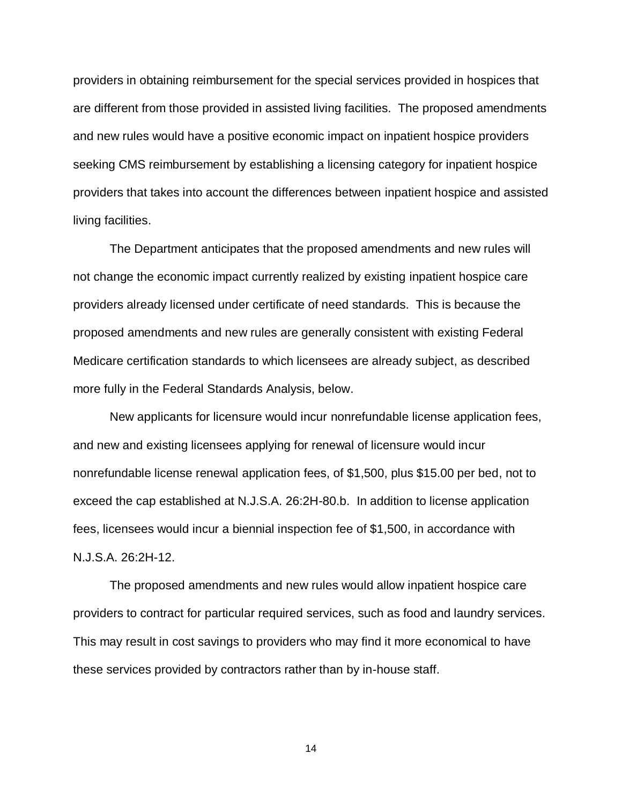providers in obtaining reimbursement for the special services provided in hospices that are different from those provided in assisted living facilities. The proposed amendments and new rules would have a positive economic impact on inpatient hospice providers seeking CMS reimbursement by establishing a licensing category for inpatient hospice providers that takes into account the differences between inpatient hospice and assisted living facilities.

The Department anticipates that the proposed amendments and new rules will not change the economic impact currently realized by existing inpatient hospice care providers already licensed under certificate of need standards. This is because the proposed amendments and new rules are generally consistent with existing Federal Medicare certification standards to which licensees are already subject, as described more fully in the Federal Standards Analysis, below.

New applicants for licensure would incur nonrefundable license application fees, and new and existing licensees applying for renewal of licensure would incur nonrefundable license renewal application fees, of \$1,500, plus \$15.00 per bed, not to exceed the cap established at N.J.S.A. 26:2H-80.b. In addition to license application fees, licensees would incur a biennial inspection fee of \$1,500, in accordance with N.J.S.A. 26:2H-12.

The proposed amendments and new rules would allow inpatient hospice care providers to contract for particular required services, such as food and laundry services. This may result in cost savings to providers who may find it more economical to have these services provided by contractors rather than by in-house staff.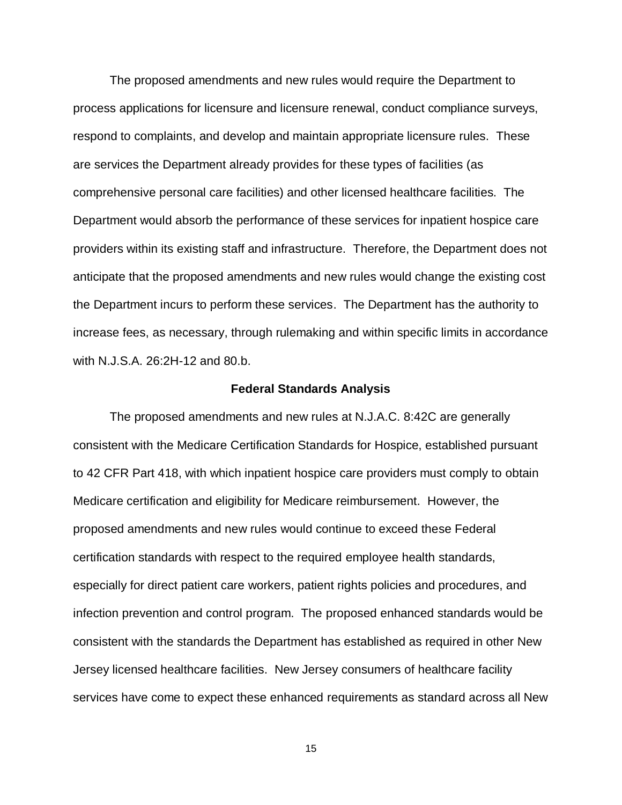The proposed amendments and new rules would require the Department to process applications for licensure and licensure renewal, conduct compliance surveys, respond to complaints, and develop and maintain appropriate licensure rules. These are services the Department already provides for these types of facilities (as comprehensive personal care facilities) and other licensed healthcare facilities. The Department would absorb the performance of these services for inpatient hospice care providers within its existing staff and infrastructure. Therefore, the Department does not anticipate that the proposed amendments and new rules would change the existing cost the Department incurs to perform these services. The Department has the authority to increase fees, as necessary, through rulemaking and within specific limits in accordance with N.J.S.A. 26:2H-12 and 80.b.

### **Federal Standards Analysis**

The proposed amendments and new rules at N.J.A.C. 8:42C are generally consistent with the Medicare Certification Standards for Hospice, established pursuant to 42 CFR Part 418, with which inpatient hospice care providers must comply to obtain Medicare certification and eligibility for Medicare reimbursement. However, the proposed amendments and new rules would continue to exceed these Federal certification standards with respect to the required employee health standards, especially for direct patient care workers, patient rights policies and procedures, and infection prevention and control program. The proposed enhanced standards would be consistent with the standards the Department has established as required in other New Jersey licensed healthcare facilities. New Jersey consumers of healthcare facility services have come to expect these enhanced requirements as standard across all New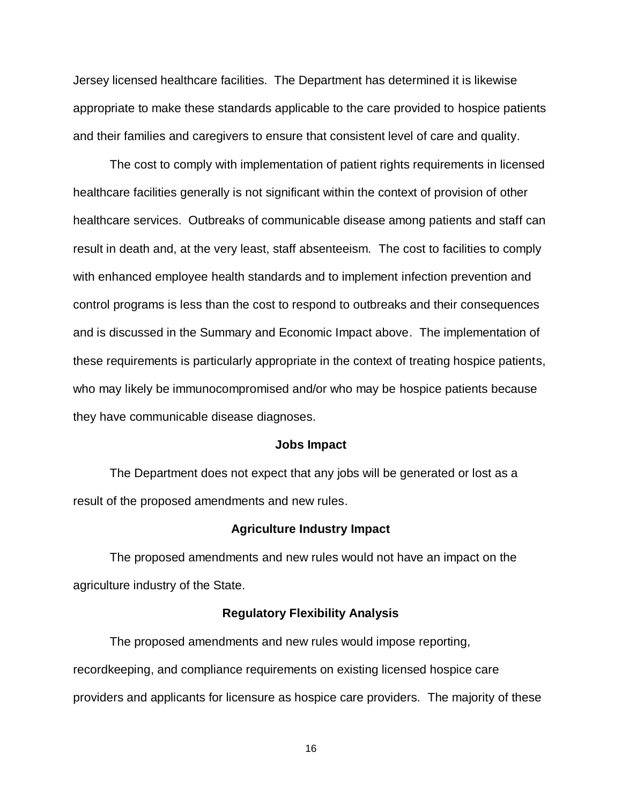Jersey licensed healthcare facilities. The Department has determined it is likewise appropriate to make these standards applicable to the care provided to hospice patients and their families and caregivers to ensure that consistent level of care and quality.

The cost to comply with implementation of patient rights requirements in licensed healthcare facilities generally is not significant within the context of provision of other healthcare services. Outbreaks of communicable disease among patients and staff can result in death and, at the very least, staff absenteeism. The cost to facilities to comply with enhanced employee health standards and to implement infection prevention and control programs is less than the cost to respond to outbreaks and their consequences and is discussed in the Summary and Economic Impact above. The implementation of these requirements is particularly appropriate in the context of treating hospice patients, who may likely be immunocompromised and/or who may be hospice patients because they have communicable disease diagnoses.

#### **Jobs Impact**

The Department does not expect that any jobs will be generated or lost as a result of the proposed amendments and new rules.

### **Agriculture Industry Impact**

The proposed amendments and new rules would not have an impact on the agriculture industry of the State.

### **Regulatory Flexibility Analysis**

The proposed amendments and new rules would impose reporting, recordkeeping, and compliance requirements on existing licensed hospice care providers and applicants for licensure as hospice care providers. The majority of these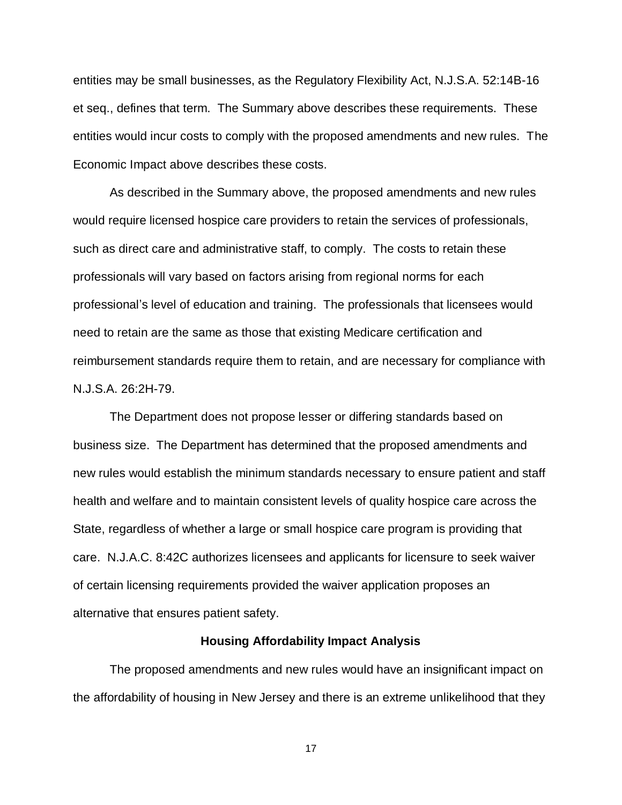entities may be small businesses, as the Regulatory Flexibility Act, N.J.S.A. 52:14B-16 et seq., defines that term. The Summary above describes these requirements. These entities would incur costs to comply with the proposed amendments and new rules. The Economic Impact above describes these costs.

As described in the Summary above, the proposed amendments and new rules would require licensed hospice care providers to retain the services of professionals, such as direct care and administrative staff, to comply. The costs to retain these professionals will vary based on factors arising from regional norms for each professional's level of education and training. The professionals that licensees would need to retain are the same as those that existing Medicare certification and reimbursement standards require them to retain, and are necessary for compliance with N.J.S.A. 26:2H-79.

The Department does not propose lesser or differing standards based on business size. The Department has determined that the proposed amendments and new rules would establish the minimum standards necessary to ensure patient and staff health and welfare and to maintain consistent levels of quality hospice care across the State, regardless of whether a large or small hospice care program is providing that care. N.J.A.C. 8:42C authorizes licensees and applicants for licensure to seek waiver of certain licensing requirements provided the waiver application proposes an alternative that ensures patient safety.

## **Housing Affordability Impact Analysis**

The proposed amendments and new rules would have an insignificant impact on the affordability of housing in New Jersey and there is an extreme unlikelihood that they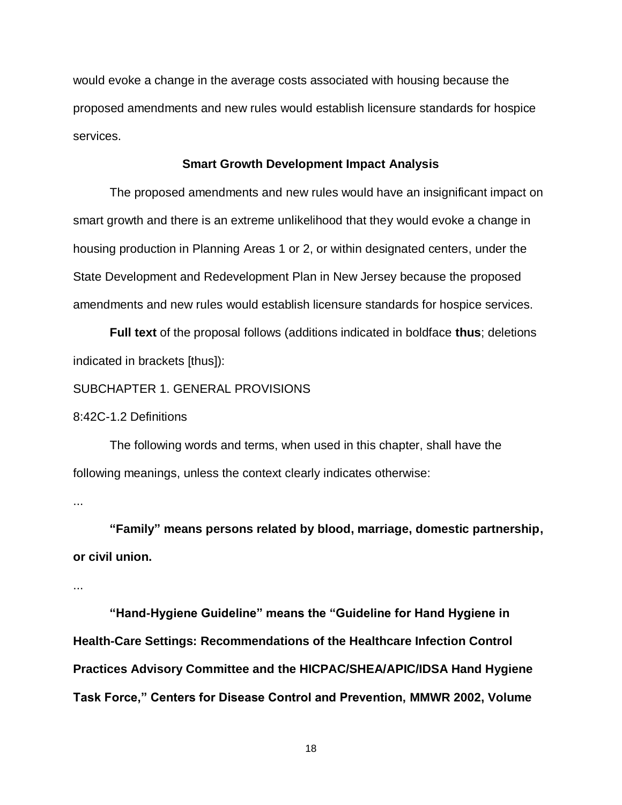would evoke a change in the average costs associated with housing because the proposed amendments and new rules would establish licensure standards for hospice services.

## **Smart Growth Development Impact Analysis**

The proposed amendments and new rules would have an insignificant impact on smart growth and there is an extreme unlikelihood that they would evoke a change in housing production in Planning Areas 1 or 2, or within designated centers, under the State Development and Redevelopment Plan in New Jersey because the proposed amendments and new rules would establish licensure standards for hospice services.

**Full text** of the proposal follows (additions indicated in boldface **thus**; deletions indicated in brackets [thus]):

## SUBCHAPTER 1. GENERAL PROVISIONS

8:42C-1.2 Definitions

The following words and terms, when used in this chapter, shall have the following meanings, unless the context clearly indicates otherwise:

...

**"Family" means persons related by blood, marriage, domestic partnership, or civil union.**

...

**"Hand-Hygiene Guideline" means the "Guideline for Hand Hygiene in Health-Care Settings: Recommendations of the Healthcare Infection Control Practices Advisory Committee and the HICPAC/SHEA/APIC/IDSA Hand Hygiene Task Force," Centers for Disease Control and Prevention, MMWR 2002, Volume**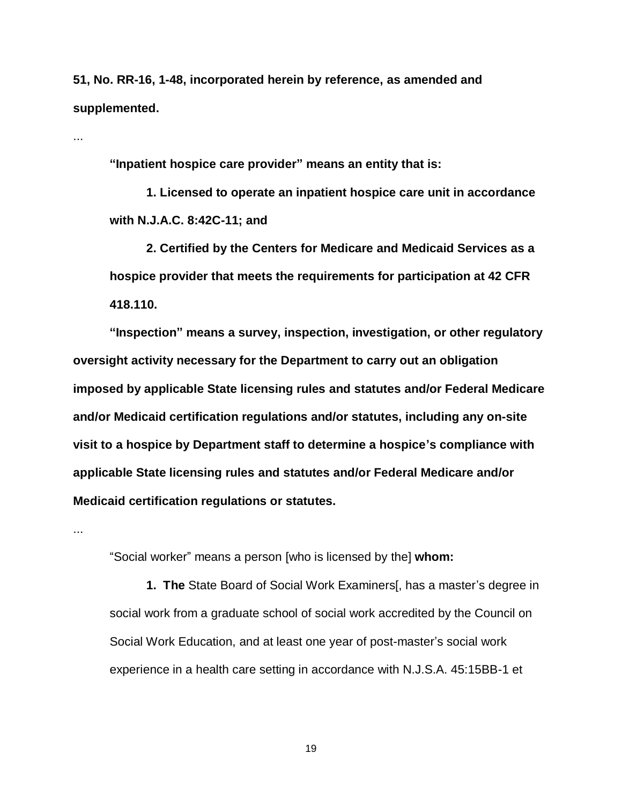**51, No. RR-16, 1-48, incorporated herein by reference, as amended and supplemented.**

...

**"Inpatient hospice care provider" means an entity that is:**

**1. Licensed to operate an inpatient hospice care unit in accordance with N.J.A.C. 8:42C-11; and**

**2. Certified by the Centers for Medicare and Medicaid Services as a hospice provider that meets the requirements for participation at 42 CFR 418.110.**

**"Inspection" means a survey, inspection, investigation, or other regulatory oversight activity necessary for the Department to carry out an obligation imposed by applicable State licensing rules and statutes and/or Federal Medicare and/or Medicaid certification regulations and/or statutes, including any on-site visit to a hospice by Department staff to determine a hospice's compliance with applicable State licensing rules and statutes and/or Federal Medicare and/or Medicaid certification regulations or statutes.**

...

"Social worker" means a person [who is licensed by the] **whom:**

**1. The** State Board of Social Work Examiners[, has a master's degree in social work from a graduate school of social work accredited by the Council on Social Work Education, and at least one year of post-master's social work experience in a health care setting in accordance with N.J.S.A. 45:15BB-1 et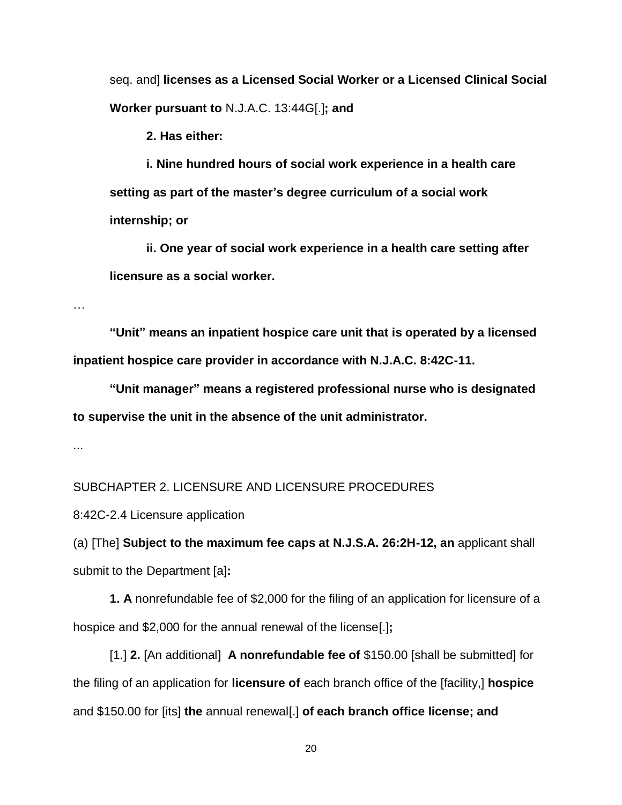seq. and] **licenses as a Licensed Social Worker or a Licensed Clinical Social Worker pursuant to** N.J.A.C. 13:44G[.]**; and**

**2. Has either:**

**i. Nine hundred hours of social work experience in a health care setting as part of the master's degree curriculum of a social work internship; or**

**ii. One year of social work experience in a health care setting after licensure as a social worker.**

…

**"Unit" means an inpatient hospice care unit that is operated by a licensed inpatient hospice care provider in accordance with N.J.A.C. 8:42C-11.**

**"Unit manager" means a registered professional nurse who is designated to supervise the unit in the absence of the unit administrator.**

...

SUBCHAPTER 2. LICENSURE AND LICENSURE PROCEDURES

8:42C-2.4 Licensure application

(a) [The] **Subject to the maximum fee caps at N.J.S.A. 26:2H-12, an** applicant shall submit to the Department [a]**:**

**1. A** nonrefundable fee of \$2,000 for the filing of an application for licensure of a hospice and \$2,000 for the annual renewal of the license[.]**;**

[1.] **2.** [An additional] **A nonrefundable fee of** \$150.00 [shall be submitted] for the filing of an application for **licensure of** each branch office of the [facility,] **hospice** and \$150.00 for [its] **the** annual renewal[.] **of each branch office license; and**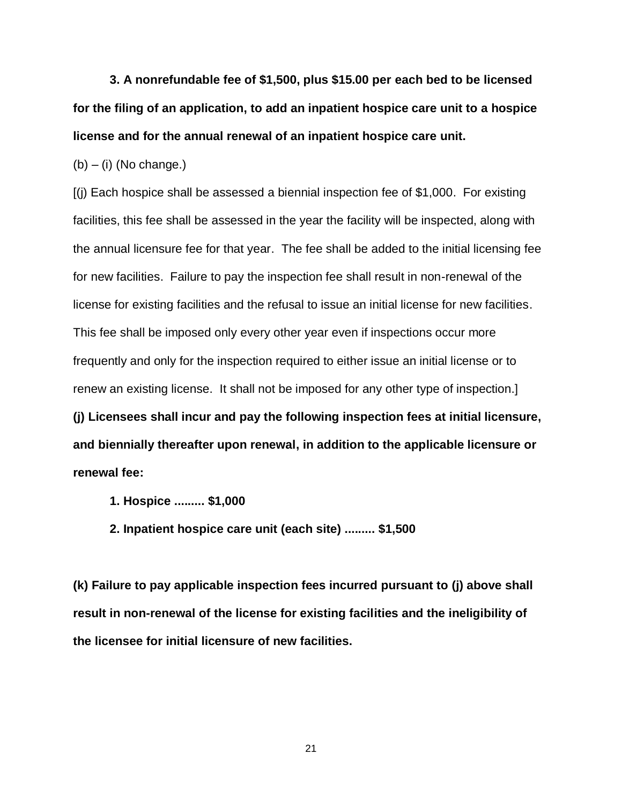**3. A nonrefundable fee of \$1,500, plus \$15.00 per each bed to be licensed for the filing of an application, to add an inpatient hospice care unit to a hospice license and for the annual renewal of an inpatient hospice care unit.**

 $(b) - (i)$  (No change.)

[(j) Each hospice shall be assessed a biennial inspection fee of \$1,000. For existing facilities, this fee shall be assessed in the year the facility will be inspected, along with the annual licensure fee for that year. The fee shall be added to the initial licensing fee for new facilities. Failure to pay the inspection fee shall result in non-renewal of the license for existing facilities and the refusal to issue an initial license for new facilities. This fee shall be imposed only every other year even if inspections occur more frequently and only for the inspection required to either issue an initial license or to renew an existing license. It shall not be imposed for any other type of inspection.] **(j) Licensees shall incur and pay the following inspection fees at initial licensure, and biennially thereafter upon renewal, in addition to the applicable licensure or renewal fee:**

- **1. Hospice ......... \$1,000**
- **2. Inpatient hospice care unit (each site) ......... \$1,500**

**(k) Failure to pay applicable inspection fees incurred pursuant to (j) above shall result in non-renewal of the license for existing facilities and the ineligibility of the licensee for initial licensure of new facilities.**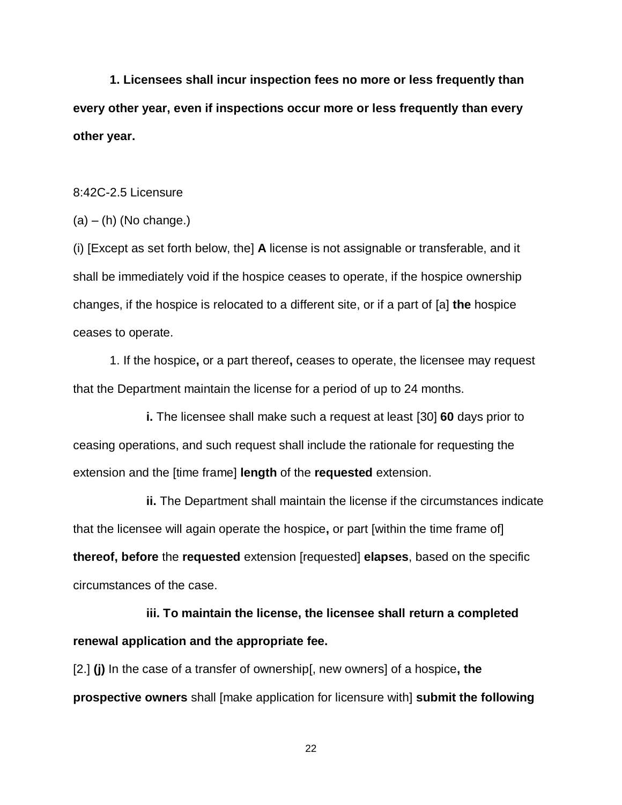**1. Licensees shall incur inspection fees no more or less frequently than every other year, even if inspections occur more or less frequently than every other year.**

8:42C-2.5 Licensure

 $(a) - (h)$  (No change.)

(i) [Except as set forth below, the] **A** license is not assignable or transferable, and it shall be immediately void if the hospice ceases to operate, if the hospice ownership changes, if the hospice is relocated to a different site, or if a part of [a] **the** hospice ceases to operate.

1. If the hospice**,** or a part thereof**,** ceases to operate, the licensee may request that the Department maintain the license for a period of up to 24 months.

**i.** The licensee shall make such a request at least [30] **60** days prior to ceasing operations, and such request shall include the rationale for requesting the extension and the [time frame] **length** of the **requested** extension.

**ii.** The Department shall maintain the license if the circumstances indicate that the licensee will again operate the hospice**,** or part [within the time frame of] **thereof, before** the **requested** extension [requested] **elapses**, based on the specific circumstances of the case.

**iii. To maintain the license, the licensee shall return a completed renewal application and the appropriate fee.**

[2.] **(j)** In the case of a transfer of ownership[, new owners] of a hospice**, the prospective owners** shall [make application for licensure with] **submit the following**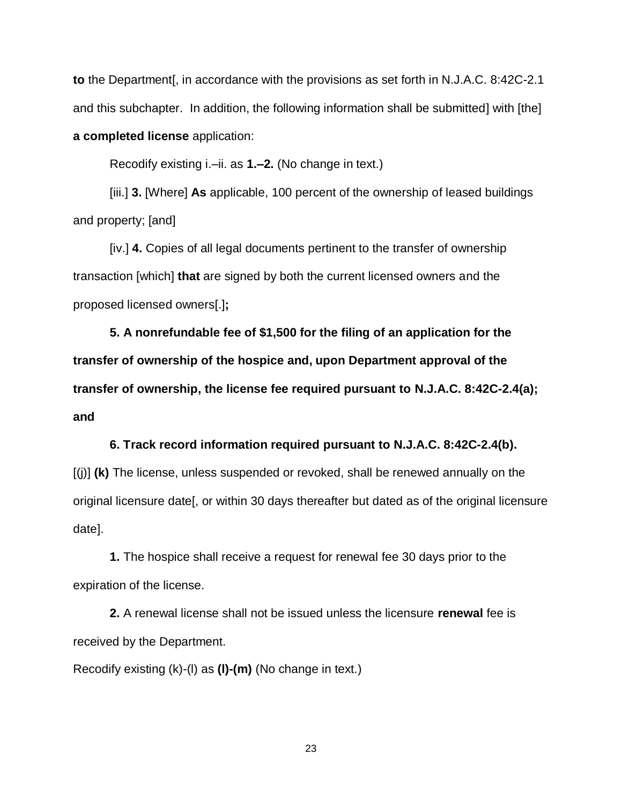**to** the Department[, in accordance with the provisions as set forth in N.J.A.C. 8:42C-2.1 and this subchapter. In addition, the following information shall be submitted] with [the] **a completed license** application:

Recodify existing i.–ii. as **1.–2.** (No change in text.)

[iii.] **3.** [Where] **As** applicable, 100 percent of the ownership of leased buildings and property; [and]

[iv.] **4.** Copies of all legal documents pertinent to the transfer of ownership transaction [which] **that** are signed by both the current licensed owners and the proposed licensed owners[.]**;**

**5. A nonrefundable fee of \$1,500 for the filing of an application for the transfer of ownership of the hospice and, upon Department approval of the transfer of ownership, the license fee required pursuant to N.J.A.C. 8:42C-2.4(a); and**

## **6. Track record information required pursuant to N.J.A.C. 8:42C-2.4(b).**

[(j)] **(k)** The license, unless suspended or revoked, shall be renewed annually on the original licensure date[, or within 30 days thereafter but dated as of the original licensure date].

**1.** The hospice shall receive a request for renewal fee 30 days prior to the expiration of the license.

**2.** A renewal license shall not be issued unless the licensure **renewal** fee is received by the Department.

Recodify existing (k)-(l) as **(l)-(m)** (No change in text.)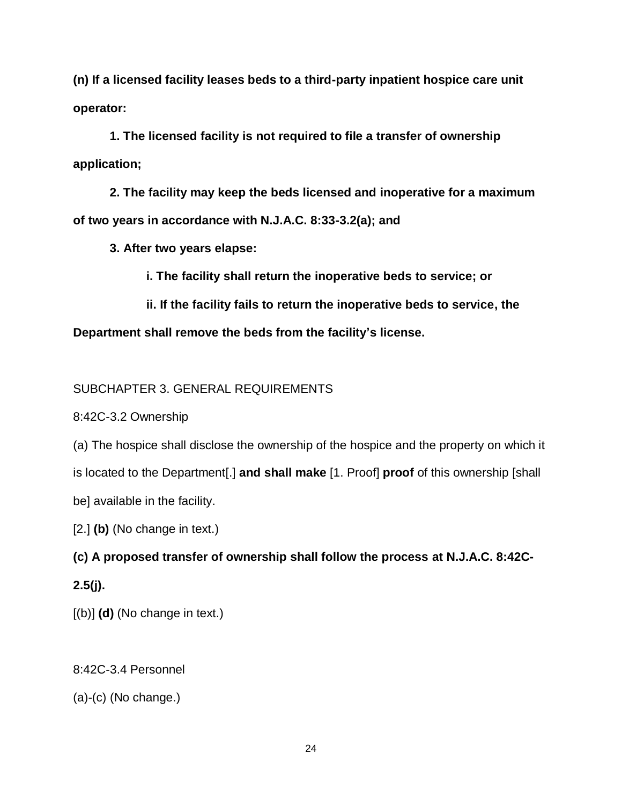**(n) If a licensed facility leases beds to a third-party inpatient hospice care unit operator:**

**1. The licensed facility is not required to file a transfer of ownership application;**

**2. The facility may keep the beds licensed and inoperative for a maximum of two years in accordance with N.J.A.C. 8:33-3.2(a); and**

**3. After two years elapse:**

**i. The facility shall return the inoperative beds to service; or**

**ii. If the facility fails to return the inoperative beds to service, the** 

**Department shall remove the beds from the facility's license.**

SUBCHAPTER 3. GENERAL REQUIREMENTS

8:42C-3.2 Ownership

(a) The hospice shall disclose the ownership of the hospice and the property on which it is located to the Department[.] **and shall make** [1. Proof] **proof** of this ownership [shall be] available in the facility.

[2.] **(b)** (No change in text.)

**(c) A proposed transfer of ownership shall follow the process at N.J.A.C. 8:42C-2.5(j).**

[(b)] **(d)** (No change in text.)

8:42C-3.4 Personnel

(a)-(c) (No change.)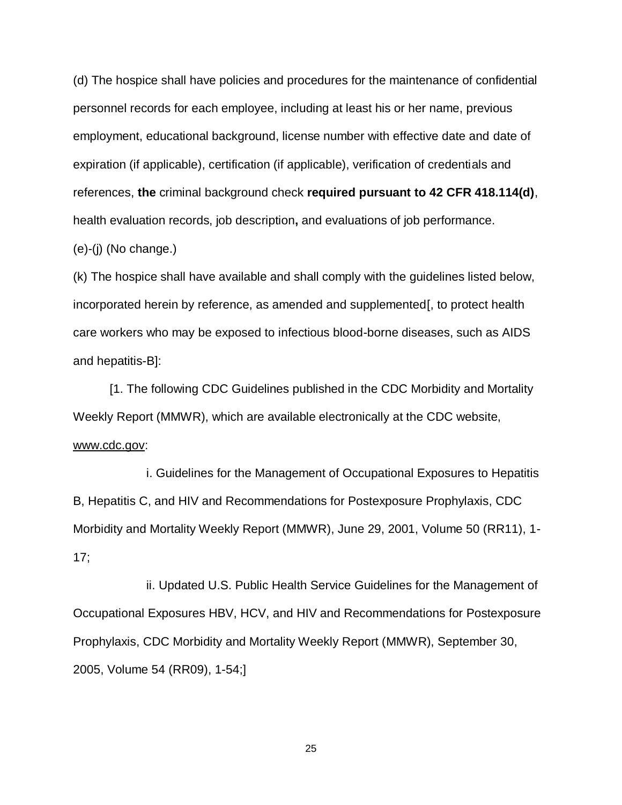(d) The hospice shall have policies and procedures for the maintenance of confidential personnel records for each employee, including at least his or her name, previous employment, educational background, license number with effective date and date of expiration (if applicable), certification (if applicable), verification of credentials and references, **the** criminal background check **required pursuant to 42 CFR 418.114(d)**, health evaluation records, job description**,** and evaluations of job performance.

(e)-(j) (No change.)

(k) The hospice shall have available and shall comply with the guidelines listed below, incorporated herein by reference, as amended and supplemented[, to protect health care workers who may be exposed to infectious blood-borne diseases, such as AIDS and hepatitis-B]:

[1. The following CDC Guidelines published in the CDC Morbidity and Mortality Weekly Report (MMWR), which are available electronically at the CDC website, www.cdc.gov:

i. Guidelines for the Management of Occupational Exposures to Hepatitis B, Hepatitis C, and HIV and Recommendations for Postexposure Prophylaxis, CDC Morbidity and Mortality Weekly Report (MMWR), June 29, 2001, Volume 50 (RR11), 1- 17;

ii. Updated U.S. Public Health Service Guidelines for the Management of Occupational Exposures HBV, HCV, and HIV and Recommendations for Postexposure Prophylaxis, CDC Morbidity and Mortality Weekly Report (MMWR), September 30, 2005, Volume 54 (RR09), 1-54;]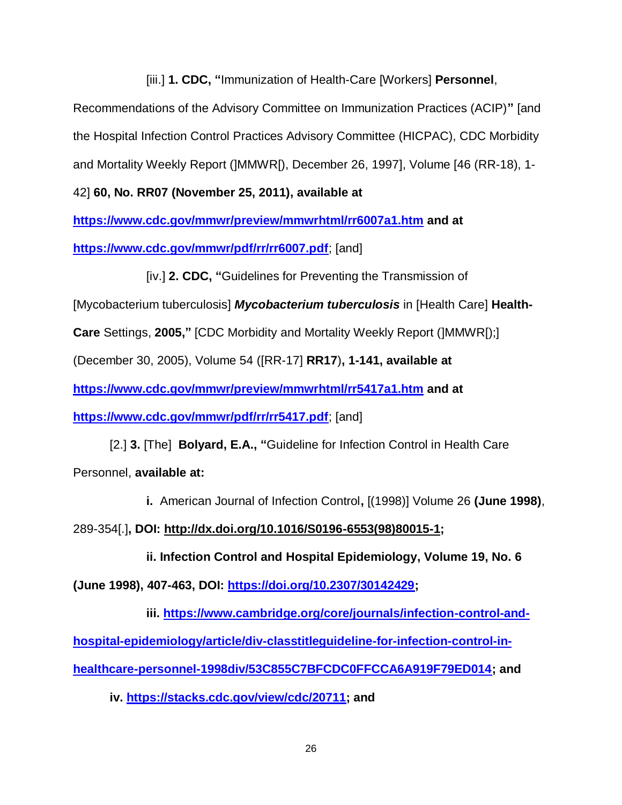[iii.] **1. CDC, "**Immunization of Health-Care [Workers] **Personnel**,

Recommendations of the Advisory Committee on Immunization Practices (ACIP)**"** [and the Hospital Infection Control Practices Advisory Committee (HICPAC), CDC Morbidity and Mortality Weekly Report (]MMWR[), December 26, 1997], Volume [46 (RR-18), 1-

42] **60, No. RR07 (November 25, 2011), available at** 

**<https://www.cdc.gov/mmwr/preview/mmwrhtml/rr6007a1.htm> and at** 

**<https://www.cdc.gov/mmwr/pdf/rr/rr6007.pdf>**; [and]

[iv.] **2. CDC, "**Guidelines for Preventing the Transmission of

[Mycobacterium tuberculosis] *Mycobacterium tuberculosis* in [Health Care] **Health-**

**Care** Settings, **2005,"** [CDC Morbidity and Mortality Weekly Report (]MMWR[);]

(December 30, 2005), Volume 54 ([RR-17] **RR17**)**, 1-141, available at** 

**<https://www.cdc.gov/mmwr/preview/mmwrhtml/rr5417a1.htm> and at** 

**<https://www.cdc.gov/mmwr/pdf/rr/rr5417.pdf>**; [and]

[2.] **3.** [The] **Bolyard, E.A., "**Guideline for Infection Control in Health Care Personnel, **available at:**

**i.** American Journal of Infection Control**,** [(1998)] Volume 26 **(June 1998)**,

289-354[.]**, DOI: [http://dx.doi.org/10.1016/S0196-6553\(98\)80015-1;](http://dx.doi.org/10.1016/S0196-6553(98)80015-1)** 

**ii. Infection Control and Hospital Epidemiology, Volume 19, No. 6**

**(June 1998), 407-463, DOI: [https://doi.org/10.2307/30142429;](https://doi.org/10.2307/30142429)**

**iii. [https://www.cambridge.org/core/journals/infection-control-and](https://www.cambridge.org/core/journals/infection-control-and-hospital-epidemiology/article/div-classtitleguideline-for-infection-control-in-healthcare-personnel-1998div/53C855C7BFCDC0FFCCA6A919F79ED014)[hospital-epidemiology/article/div-classtitleguideline-for-infection-control-in](https://www.cambridge.org/core/journals/infection-control-and-hospital-epidemiology/article/div-classtitleguideline-for-infection-control-in-healthcare-personnel-1998div/53C855C7BFCDC0FFCCA6A919F79ED014)[healthcare-personnel-1998div/53C855C7BFCDC0FFCCA6A919F79ED014;](https://www.cambridge.org/core/journals/infection-control-and-hospital-epidemiology/article/div-classtitleguideline-for-infection-control-in-healthcare-personnel-1998div/53C855C7BFCDC0FFCCA6A919F79ED014) and**

**iv. [https://stacks.cdc.gov/view/cdc/20711;](https://stacks.cdc.gov/view/cdc/20711*) and**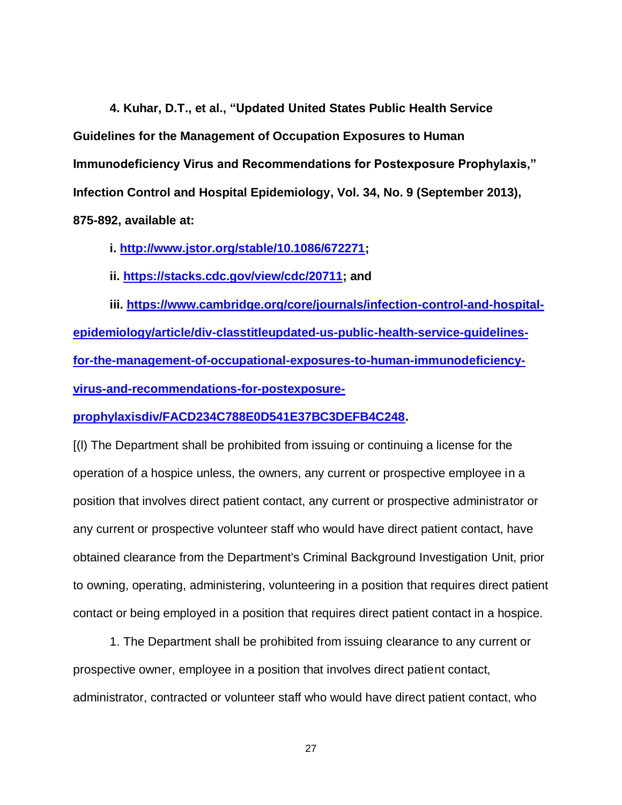**4. Kuhar, D.T., et al., "Updated United States Public Health Service Guidelines for the Management of Occupation Exposures to Human Immunodeficiency Virus and Recommendations for Postexposure Prophylaxis," Infection Control and Hospital Epidemiology, Vol. 34, No. 9 (September 2013), 875-892, available at:**

**i. [http://www.jstor.org/stable/10.1086/672271;](http://www.jstor.org/stable/10.1086/672271)**

**ii. <https://stacks.cdc.gov/view/cdc/20711;> and**

iii. [https://www.cambridge.org/core/journals/infection-control-and-hospital](https://www.cambridge.org/core/journals/infection-control-and-hospital-epidemiology/article/div-classtitleupdated-us-public-health-service-guidelines-for-the-management-of-occupational-exposures-to-human-immunodeficiency-virus-and-recommendations-for-postexposure-prophylaxisdiv/FACD234C788E0D541E37BC3DEFB4C248)**[epidemiology/article/div-classtitleupdated-us-public-health-service-guidelines](https://www.cambridge.org/core/journals/infection-control-and-hospital-epidemiology/article/div-classtitleupdated-us-public-health-service-guidelines-for-the-management-of-occupational-exposures-to-human-immunodeficiency-virus-and-recommendations-for-postexposure-prophylaxisdiv/FACD234C788E0D541E37BC3DEFB4C248)[for-the-management-of-occupational-exposures-to-human-immunodeficiency](https://www.cambridge.org/core/journals/infection-control-and-hospital-epidemiology/article/div-classtitleupdated-us-public-health-service-guidelines-for-the-management-of-occupational-exposures-to-human-immunodeficiency-virus-and-recommendations-for-postexposure-prophylaxisdiv/FACD234C788E0D541E37BC3DEFB4C248)[virus-and-recommendations-for-postexposure-](https://www.cambridge.org/core/journals/infection-control-and-hospital-epidemiology/article/div-classtitleupdated-us-public-health-service-guidelines-for-the-management-of-occupational-exposures-to-human-immunodeficiency-virus-and-recommendations-for-postexposure-prophylaxisdiv/FACD234C788E0D541E37BC3DEFB4C248)**

**[prophylaxisdiv/FACD234C788E0D541E37BC3DEFB4C248.](https://www.cambridge.org/core/journals/infection-control-and-hospital-epidemiology/article/div-classtitleupdated-us-public-health-service-guidelines-for-the-management-of-occupational-exposures-to-human-immunodeficiency-virus-and-recommendations-for-postexposure-prophylaxisdiv/FACD234C788E0D541E37BC3DEFB4C248)**

[(l) The Department shall be prohibited from issuing or continuing a license for the operation of a hospice unless, the owners, any current or prospective employee in a position that involves direct patient contact, any current or prospective administrator or any current or prospective volunteer staff who would have direct patient contact, have obtained clearance from the Department's Criminal Background Investigation Unit, prior to owning, operating, administering, volunteering in a position that requires direct patient contact or being employed in a position that requires direct patient contact in a hospice.

1. The Department shall be prohibited from issuing clearance to any current or prospective owner, employee in a position that involves direct patient contact, administrator, contracted or volunteer staff who would have direct patient contact, who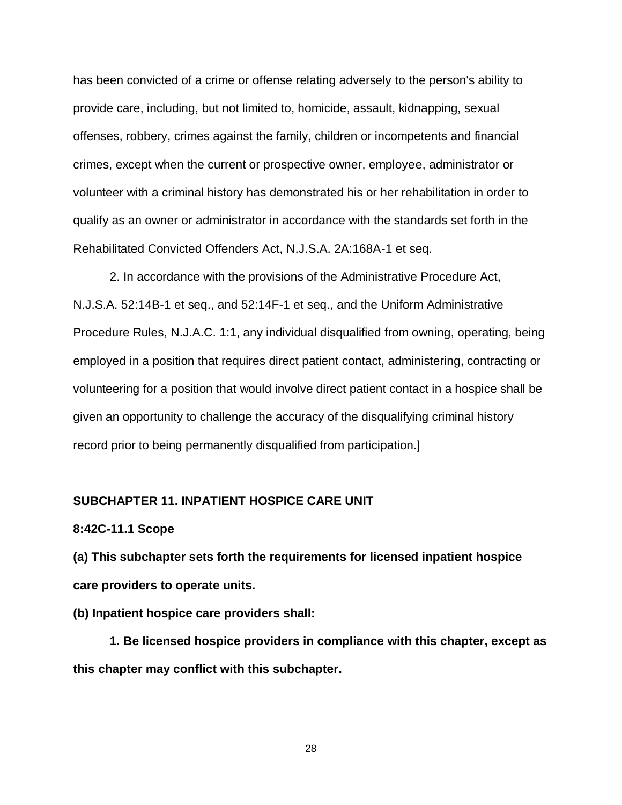has been convicted of a crime or offense relating adversely to the person's ability to provide care, including, but not limited to, homicide, assault, kidnapping, sexual offenses, robbery, crimes against the family, children or incompetents and financial crimes, except when the current or prospective owner, employee, administrator or volunteer with a criminal history has demonstrated his or her rehabilitation in order to qualify as an owner or administrator in accordance with the standards set forth in the Rehabilitated Convicted Offenders Act, N.J.S.A. 2A:168A-1 et seq.

2. In accordance with the provisions of the Administrative Procedure Act, N.J.S.A. 52:14B-1 et seq., and 52:14F-1 et seq., and the Uniform Administrative Procedure Rules, N.J.A.C. 1:1, any individual disqualified from owning, operating, being employed in a position that requires direct patient contact, administering, contracting or volunteering for a position that would involve direct patient contact in a hospice shall be given an opportunity to challenge the accuracy of the disqualifying criminal history record prior to being permanently disqualified from participation.]

## **SUBCHAPTER 11. INPATIENT HOSPICE CARE UNIT**

#### **8:42C-11.1 Scope**

**(a) This subchapter sets forth the requirements for licensed inpatient hospice care providers to operate units.**

### **(b) Inpatient hospice care providers shall:**

**1. Be licensed hospice providers in compliance with this chapter, except as this chapter may conflict with this subchapter.**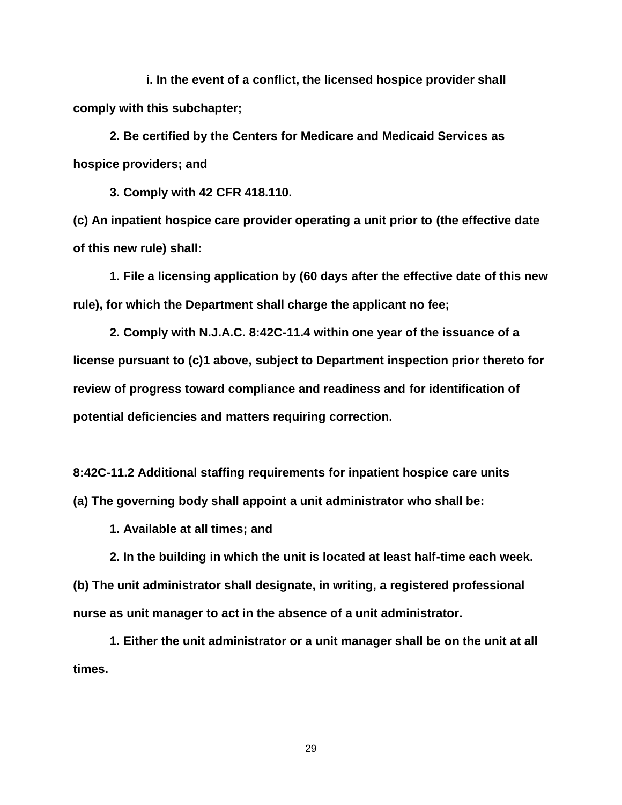**i. In the event of a conflict, the licensed hospice provider shall comply with this subchapter;**

**2. Be certified by the Centers for Medicare and Medicaid Services as hospice providers; and**

**3. Comply with 42 CFR 418.110.**

**(c) An inpatient hospice care provider operating a unit prior to (the effective date of this new rule) shall:**

**1. File a licensing application by (60 days after the effective date of this new rule), for which the Department shall charge the applicant no fee;**

**2. Comply with N.J.A.C. 8:42C-11.4 within one year of the issuance of a license pursuant to (c)1 above, subject to Department inspection prior thereto for review of progress toward compliance and readiness and for identification of potential deficiencies and matters requiring correction.**

**8:42C-11.2 Additional staffing requirements for inpatient hospice care units (a) The governing body shall appoint a unit administrator who shall be:**

**1. Available at all times; and**

**2. In the building in which the unit is located at least half-time each week. (b) The unit administrator shall designate, in writing, a registered professional nurse as unit manager to act in the absence of a unit administrator.**

**1. Either the unit administrator or a unit manager shall be on the unit at all times.**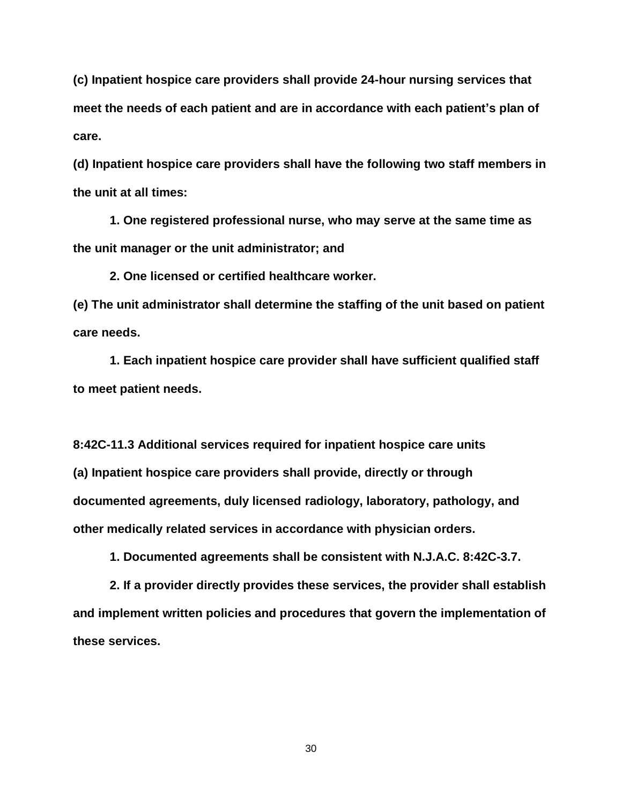**(c) Inpatient hospice care providers shall provide 24-hour nursing services that meet the needs of each patient and are in accordance with each patient's plan of care.**

**(d) Inpatient hospice care providers shall have the following two staff members in the unit at all times:**

**1. One registered professional nurse, who may serve at the same time as the unit manager or the unit administrator; and**

**2. One licensed or certified healthcare worker.**

**(e) The unit administrator shall determine the staffing of the unit based on patient care needs.**

**1. Each inpatient hospice care provider shall have sufficient qualified staff to meet patient needs.**

**8:42C-11.3 Additional services required for inpatient hospice care units (a) Inpatient hospice care providers shall provide, directly or through documented agreements, duly licensed radiology, laboratory, pathology, and other medically related services in accordance with physician orders.**

**1. Documented agreements shall be consistent with N.J.A.C. 8:42C-3.7.**

**2. If a provider directly provides these services, the provider shall establish and implement written policies and procedures that govern the implementation of these services.**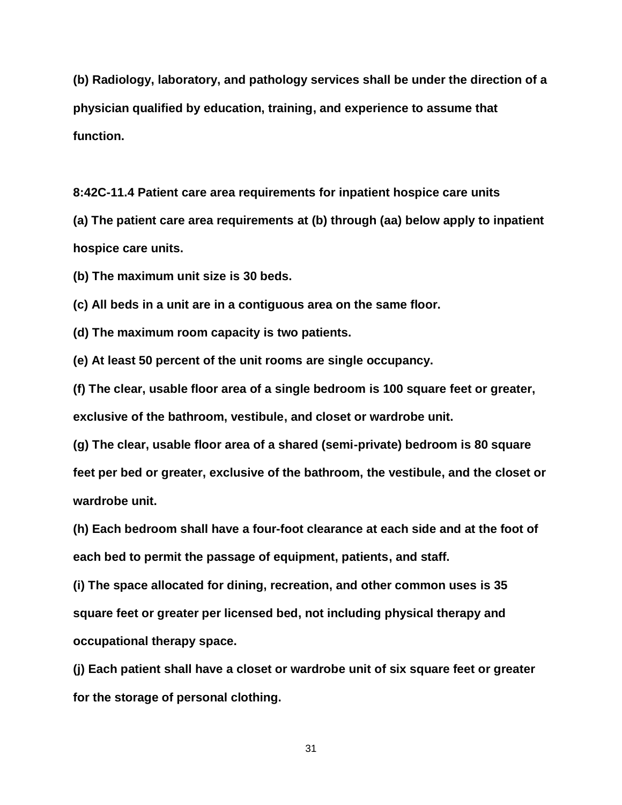**(b) Radiology, laboratory, and pathology services shall be under the direction of a physician qualified by education, training, and experience to assume that function.**

**8:42C-11.4 Patient care area requirements for inpatient hospice care units**

**(a) The patient care area requirements at (b) through (aa) below apply to inpatient hospice care units.**

**(b) The maximum unit size is 30 beds.**

**(c) All beds in a unit are in a contiguous area on the same floor.**

**(d) The maximum room capacity is two patients.**

**(e) At least 50 percent of the unit rooms are single occupancy.**

**(f) The clear, usable floor area of a single bedroom is 100 square feet or greater,** 

**exclusive of the bathroom, vestibule, and closet or wardrobe unit.**

**(g) The clear, usable floor area of a shared (semi-private) bedroom is 80 square feet per bed or greater, exclusive of the bathroom, the vestibule, and the closet or wardrobe unit.**

**(h) Each bedroom shall have a four-foot clearance at each side and at the foot of each bed to permit the passage of equipment, patients, and staff.**

**(i) The space allocated for dining, recreation, and other common uses is 35 square feet or greater per licensed bed, not including physical therapy and occupational therapy space.**

**(j) Each patient shall have a closet or wardrobe unit of six square feet or greater for the storage of personal clothing.**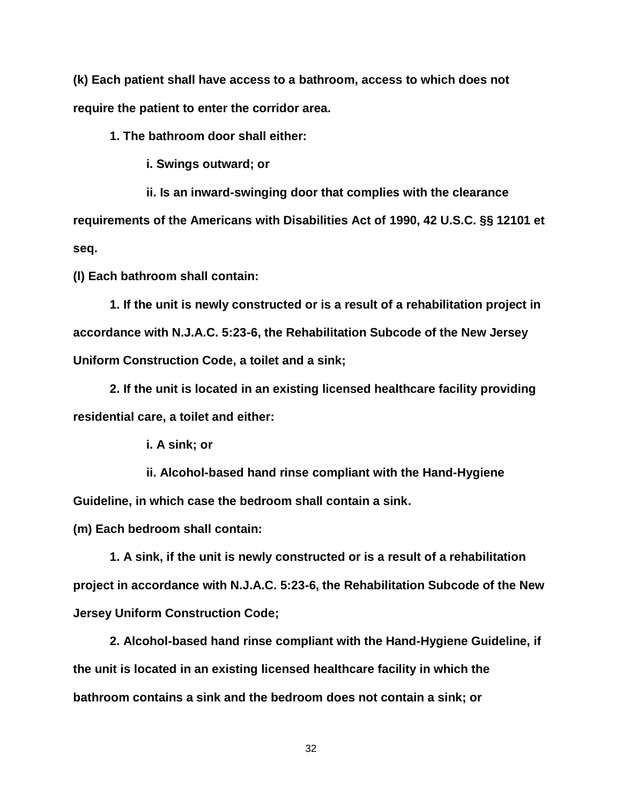**(k) Each patient shall have access to a bathroom, access to which does not require the patient to enter the corridor area.**

**1. The bathroom door shall either:**

**i. Swings outward; or**

**ii. Is an inward-swinging door that complies with the clearance requirements of the Americans with Disabilities Act of 1990, 42 U.S.C. §§ 12101 et seq.**

**(l) Each bathroom shall contain:**

**1. If the unit is newly constructed or is a result of a rehabilitation project in accordance with N.J.A.C. 5:23-6, the Rehabilitation Subcode of the New Jersey Uniform Construction Code, a toilet and a sink;**

**2. If the unit is located in an existing licensed healthcare facility providing residential care, a toilet and either:**

**i. A sink; or**

**ii. Alcohol-based hand rinse compliant with the Hand-Hygiene Guideline, in which case the bedroom shall contain a sink.**

**(m) Each bedroom shall contain:**

**1. A sink, if the unit is newly constructed or is a result of a rehabilitation project in accordance with N.J.A.C. 5:23-6, the Rehabilitation Subcode of the New Jersey Uniform Construction Code;**

**2. Alcohol-based hand rinse compliant with the Hand-Hygiene Guideline, if the unit is located in an existing licensed healthcare facility in which the bathroom contains a sink and the bedroom does not contain a sink; or**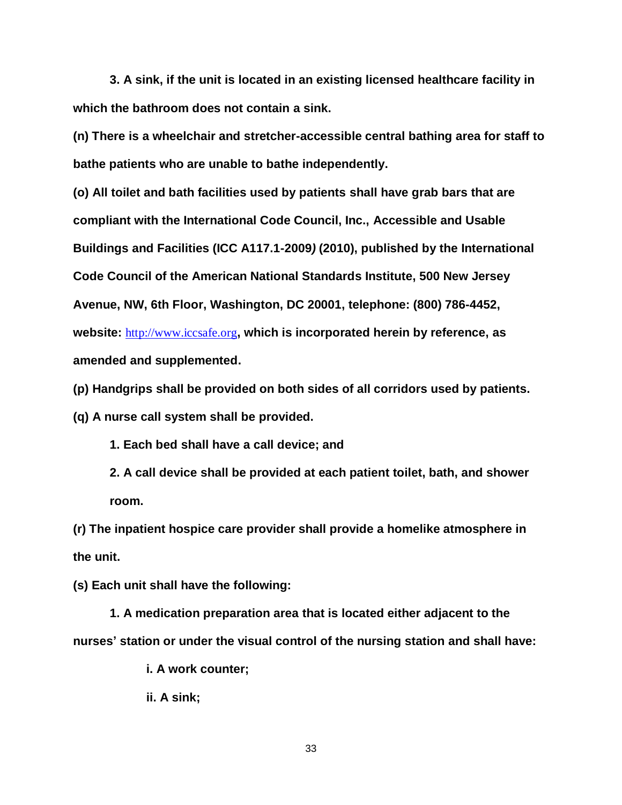**3. A sink, if the unit is located in an existing licensed healthcare facility in which the bathroom does not contain a sink.**

**(n) There is a wheelchair and stretcher-accessible central bathing area for staff to bathe patients who are unable to bathe independently.**

**(o) All toilet and bath facilities used by patients shall have grab bars that are compliant with the International Code Council, Inc., Accessible and Usable Buildings and Facilities (ICC A117.1-2009***)* **(2010), published by the International Code Council of the American National Standards Institute, 500 New Jersey Avenue, NW, 6th Floor, Washington, DC 20001, telephone: (800) 786-4452, website:** [http://www.iccsafe.org](http://www.iccsafe.org/)**, which is incorporated herein by reference, as amended and supplemented.**

**(p) Handgrips shall be provided on both sides of all corridors used by patients.**

**(q) A nurse call system shall be provided.**

**1. Each bed shall have a call device; and**

**2. A call device shall be provided at each patient toilet, bath, and shower room.**

**(r) The inpatient hospice care provider shall provide a homelike atmosphere in the unit.**

**(s) Each unit shall have the following:**

**1. A medication preparation area that is located either adjacent to the nurses' station or under the visual control of the nursing station and shall have:**

**i. A work counter;**

**ii. A sink;**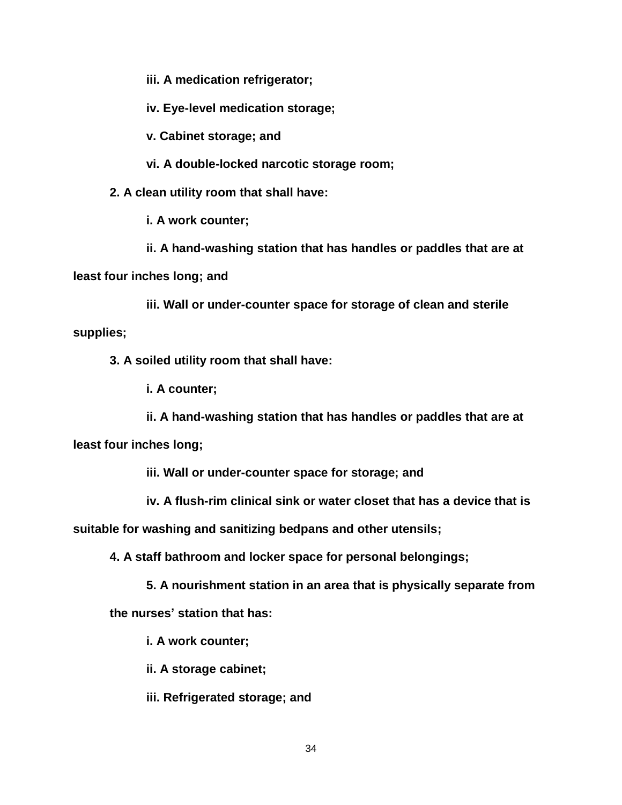**iii. A medication refrigerator;**

**iv. Eye-level medication storage;**

**v. Cabinet storage; and**

**vi. A double-locked narcotic storage room;**

**2. A clean utility room that shall have:**

**i. A work counter;**

**ii. A hand-washing station that has handles or paddles that are at** 

**least four inches long; and**

**iii. Wall or under-counter space for storage of clean and sterile supplies;**

**3. A soiled utility room that shall have:**

**i. A counter;**

**ii. A hand-washing station that has handles or paddles that are at** 

**least four inches long;**

**iii. Wall or under-counter space for storage; and**

**iv. A flush-rim clinical sink or water closet that has a device that is** 

**suitable for washing and sanitizing bedpans and other utensils;**

**4. A staff bathroom and locker space for personal belongings;**

**5. A nourishment station in an area that is physically separate from** 

**the nurses' station that has:**

**i. A work counter;**

**ii. A storage cabinet;**

**iii. Refrigerated storage; and**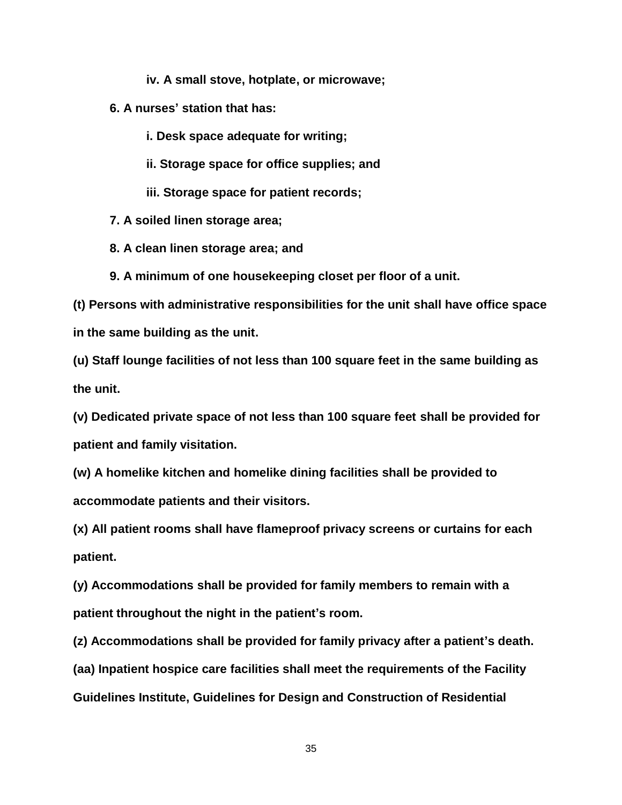**iv. A small stove, hotplate, or microwave;**

**6. A nurses' station that has:**

**i. Desk space adequate for writing;**

**ii. Storage space for office supplies; and**

**iii. Storage space for patient records;**

**7. A soiled linen storage area;**

**8. A clean linen storage area; and**

**9. A minimum of one housekeeping closet per floor of a unit.**

**(t) Persons with administrative responsibilities for the unit shall have office space in the same building as the unit.**

**(u) Staff lounge facilities of not less than 100 square feet in the same building as the unit.**

**(v) Dedicated private space of not less than 100 square feet shall be provided for patient and family visitation.**

**(w) A homelike kitchen and homelike dining facilities shall be provided to accommodate patients and their visitors.**

**(x) All patient rooms shall have flameproof privacy screens or curtains for each patient.**

**(y) Accommodations shall be provided for family members to remain with a patient throughout the night in the patient's room.**

**(z) Accommodations shall be provided for family privacy after a patient's death. (aa) Inpatient hospice care facilities shall meet the requirements of the Facility Guidelines Institute, Guidelines for Design and Construction of Residential**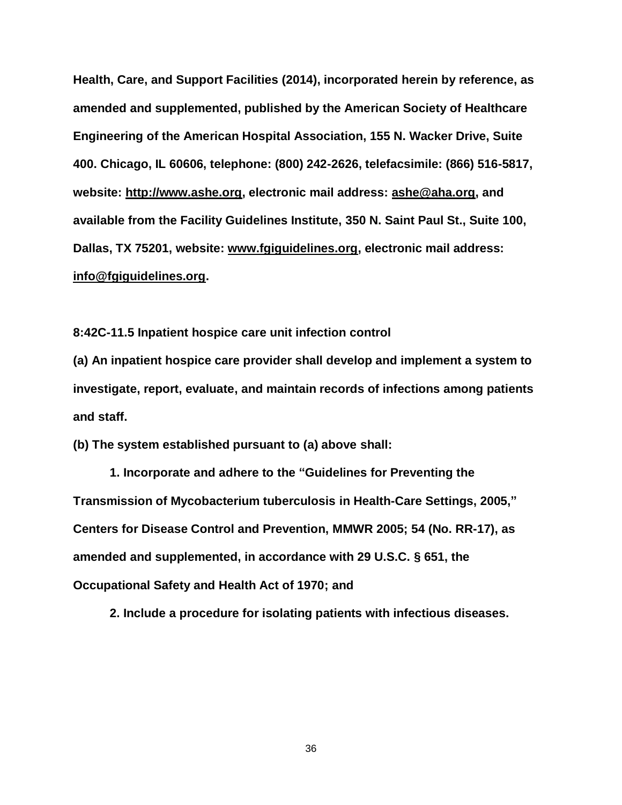**Health, Care, and Support Facilities (2014), incorporated herein by reference, as amended and supplemented, published by the American Society of Healthcare Engineering of the American Hospital Association, 155 N. Wacker Drive, Suite 400. Chicago, IL 60606, telephone: (800) 242-2626, telefacsimile: (866) 516-5817, website: http://www.ashe.org, electronic mail address: ashe@aha.org, and available from the Facility Guidelines Institute, 350 N. Saint Paul St., Suite 100, Dallas, TX 75201, website: www.fgiguidelines.org, electronic mail address: [info@fgiguidelines.org.](mailto:info@fgiguidelines.org)**

**8:42C-11.5 Inpatient hospice care unit infection control**

**(a) An inpatient hospice care provider shall develop and implement a system to investigate, report, evaluate, and maintain records of infections among patients and staff.**

**(b) The system established pursuant to (a) above shall:**

**1. Incorporate and adhere to the "Guidelines for Preventing the Transmission of Mycobacterium tuberculosis in Health-Care Settings, 2005," Centers for Disease Control and Prevention, MMWR 2005; 54 (No. RR-17), as amended and supplemented, in accordance with 29 U.S.C. § 651, the Occupational Safety and Health Act of 1970; and**

**2. Include a procedure for isolating patients with infectious diseases.**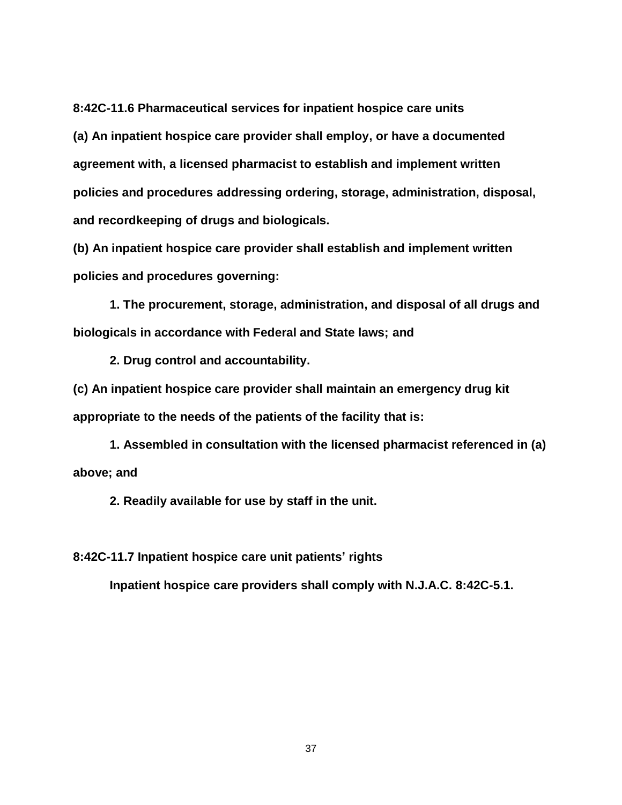**8:42C-11.6 Pharmaceutical services for inpatient hospice care units (a) An inpatient hospice care provider shall employ, or have a documented agreement with, a licensed pharmacist to establish and implement written policies and procedures addressing ordering, storage, administration, disposal, and recordkeeping of drugs and biologicals.**

**(b) An inpatient hospice care provider shall establish and implement written policies and procedures governing:**

**1. The procurement, storage, administration, and disposal of all drugs and biologicals in accordance with Federal and State laws; and**

**2. Drug control and accountability.**

**(c) An inpatient hospice care provider shall maintain an emergency drug kit appropriate to the needs of the patients of the facility that is:**

**1. Assembled in consultation with the licensed pharmacist referenced in (a) above; and**

**2. Readily available for use by staff in the unit.**

**8:42C-11.7 Inpatient hospice care unit patients' rights**

**Inpatient hospice care providers shall comply with N.J.A.C. 8:42C-5.1.**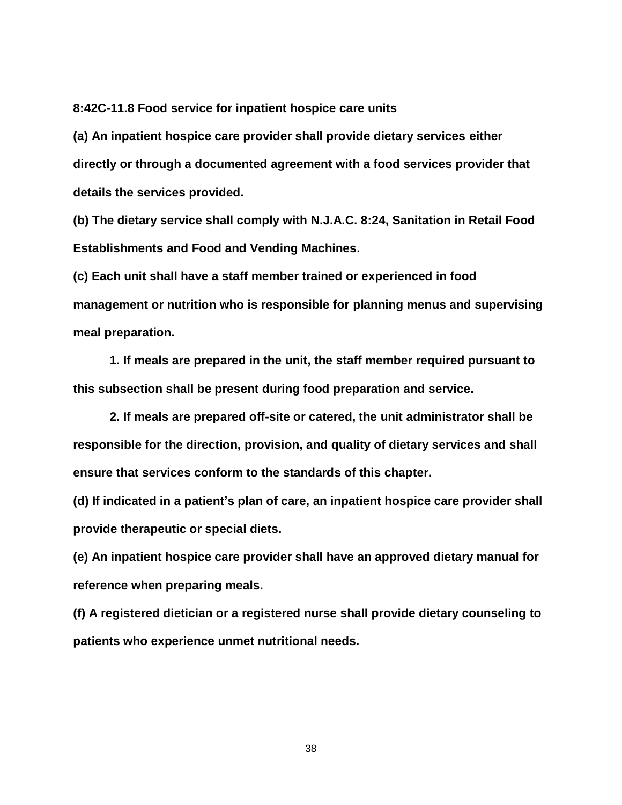**8:42C-11.8 Food service for inpatient hospice care units**

**(a) An inpatient hospice care provider shall provide dietary services either directly or through a documented agreement with a food services provider that details the services provided.**

**(b) The dietary service shall comply with N.J.A.C. 8:24, Sanitation in Retail Food Establishments and Food and Vending Machines.**

**(c) Each unit shall have a staff member trained or experienced in food management or nutrition who is responsible for planning menus and supervising meal preparation.**

**1. If meals are prepared in the unit, the staff member required pursuant to this subsection shall be present during food preparation and service.**

**2. If meals are prepared off-site or catered, the unit administrator shall be responsible for the direction, provision, and quality of dietary services and shall ensure that services conform to the standards of this chapter.**

**(d) If indicated in a patient's plan of care, an inpatient hospice care provider shall provide therapeutic or special diets.**

**(e) An inpatient hospice care provider shall have an approved dietary manual for reference when preparing meals.**

**(f) A registered dietician or a registered nurse shall provide dietary counseling to patients who experience unmet nutritional needs.**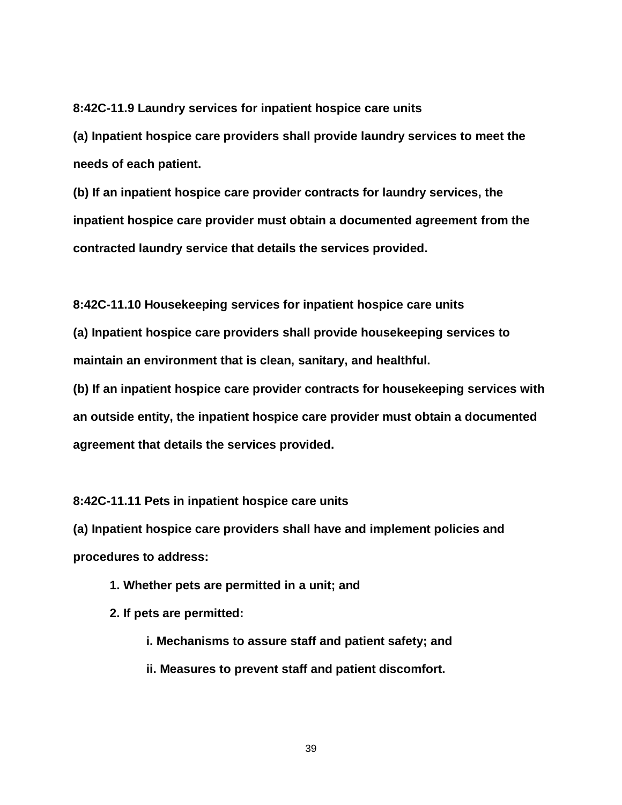**8:42C-11.9 Laundry services for inpatient hospice care units**

**(a) Inpatient hospice care providers shall provide laundry services to meet the needs of each patient.**

**(b) If an inpatient hospice care provider contracts for laundry services, the inpatient hospice care provider must obtain a documented agreement from the contracted laundry service that details the services provided.**

**8:42C-11.10 Housekeeping services for inpatient hospice care units**

**(a) Inpatient hospice care providers shall provide housekeeping services to maintain an environment that is clean, sanitary, and healthful.**

**(b) If an inpatient hospice care provider contracts for housekeeping services with an outside entity, the inpatient hospice care provider must obtain a documented agreement that details the services provided.**

**8:42C-11.11 Pets in inpatient hospice care units**

**(a) Inpatient hospice care providers shall have and implement policies and procedures to address:**

**1. Whether pets are permitted in a unit; and**

**2. If pets are permitted:**

- **i. Mechanisms to assure staff and patient safety; and**
- **ii. Measures to prevent staff and patient discomfort.**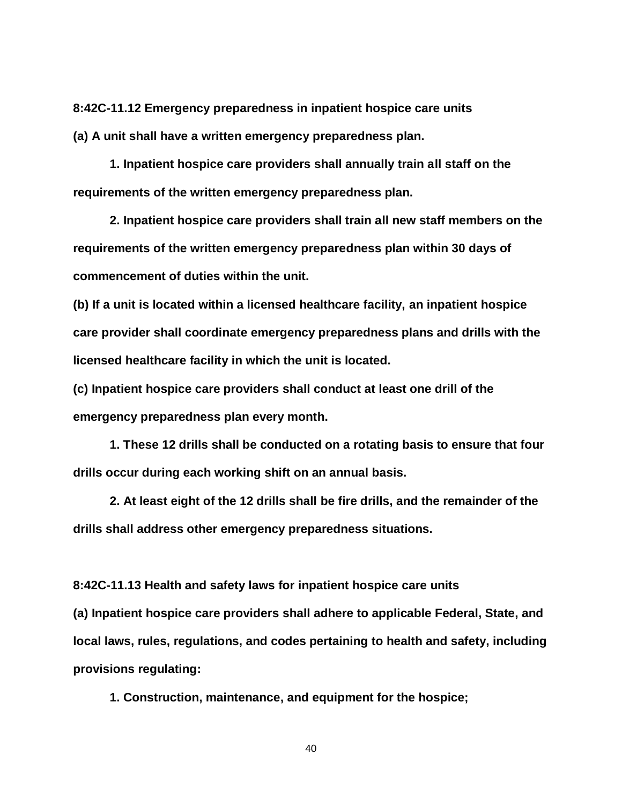**8:42C-11.12 Emergency preparedness in inpatient hospice care units (a) A unit shall have a written emergency preparedness plan.**

**1. Inpatient hospice care providers shall annually train all staff on the requirements of the written emergency preparedness plan.**

**2. Inpatient hospice care providers shall train all new staff members on the requirements of the written emergency preparedness plan within 30 days of commencement of duties within the unit.**

**(b) If a unit is located within a licensed healthcare facility, an inpatient hospice care provider shall coordinate emergency preparedness plans and drills with the licensed healthcare facility in which the unit is located.**

**(c) Inpatient hospice care providers shall conduct at least one drill of the emergency preparedness plan every month.**

**1. These 12 drills shall be conducted on a rotating basis to ensure that four drills occur during each working shift on an annual basis.**

**2. At least eight of the 12 drills shall be fire drills, and the remainder of the drills shall address other emergency preparedness situations.**

**8:42C-11.13 Health and safety laws for inpatient hospice care units**

**(a) Inpatient hospice care providers shall adhere to applicable Federal, State, and local laws, rules, regulations, and codes pertaining to health and safety, including provisions regulating:**

**1. Construction, maintenance, and equipment for the hospice;**